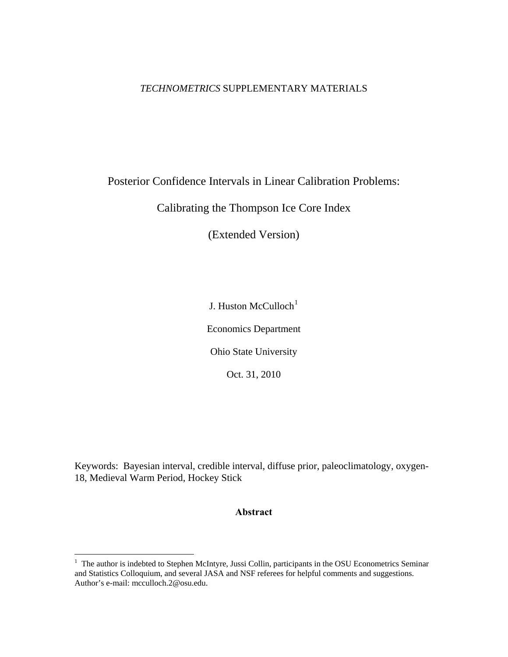# *TECHNOMETRICS* SUPPLEMENTARY MATERIALS

# Posterior Confidence Intervals in Linear Calibration Problems:

Calibrating the Thompson Ice Core Index

(Extended Version)

J. Huston McCulloch<sup>[1](#page-0-0)</sup>

Economics Department

Ohio State University

Oct. 31, 2010

Keywords: Bayesian interval, credible interval, diffuse prior, paleoclimatology, oxygen-18, Medieval Warm Period, Hockey Stick

# **Abstract**

<span id="page-0-0"></span><sup>&</sup>lt;sup>1</sup> The author is indebted to Stephen McIntyre, Jussi Collin, participants in the OSU Econometrics Seminar and Statistics Colloquium, and several JASA and NSF referees for helpful comments and suggestions. Author's e-mail: mcculloch.2@osu.edu.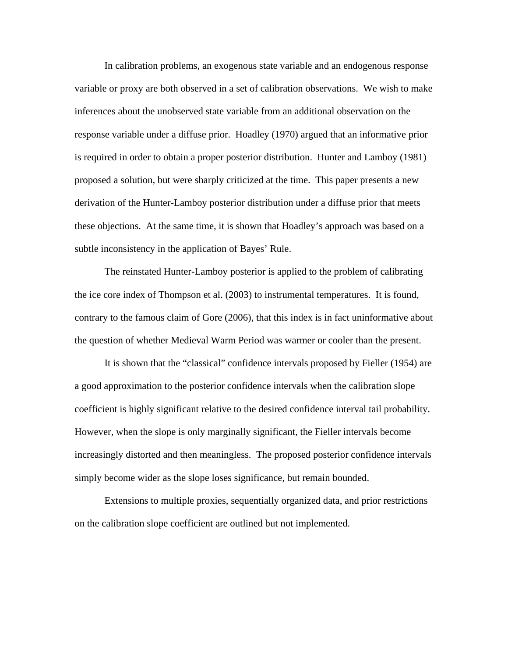In calibration problems, an exogenous state variable and an endogenous response variable or proxy are both observed in a set of calibration observations. We wish to make inferences about the unobserved state variable from an additional observation on the response variable under a diffuse prior. Hoadley (1970) argued that an informative prior is required in order to obtain a proper posterior distribution. Hunter and Lamboy (1981) proposed a solution, but were sharply criticized at the time. This paper presents a new derivation of the Hunter-Lamboy posterior distribution under a diffuse prior that meets these objections. At the same time, it is shown that Hoadley's approach was based on a subtle inconsistency in the application of Bayes' Rule.

 The reinstated Hunter-Lamboy posterior is applied to the problem of calibrating the ice core index of Thompson et al. (2003) to instrumental temperatures. It is found, contrary to the famous claim of Gore (2006), that this index is in fact uninformative about the question of whether Medieval Warm Period was warmer or cooler than the present.

 It is shown that the "classical" confidence intervals proposed by Fieller (1954) are a good approximation to the posterior confidence intervals when the calibration slope coefficient is highly significant relative to the desired confidence interval tail probability. However, when the slope is only marginally significant, the Fieller intervals become increasingly distorted and then meaningless. The proposed posterior confidence intervals simply become wider as the slope loses significance, but remain bounded.

 Extensions to multiple proxies, sequentially organized data, and prior restrictions on the calibration slope coefficient are outlined but not implemented.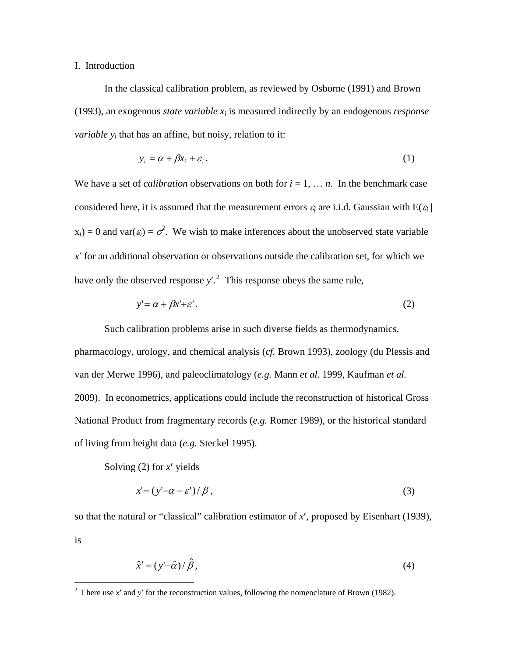## I. Introduction

 In the classical calibration problem, as reviewed by Osborne (1991) and Brown (1993), an exogenous *state variable xi* is measured indirectly by an endogenous *response variable*  $y_i$  that has an affine, but noisy, relation to it:

$$
y_i = \alpha + \beta x_i + \varepsilon_i. \tag{1}
$$

We have a set of *calibration* observations on both for  $i = 1, \ldots, n$ . In the benchmark case considered here, it is assumed that the measurement errors  $\varepsilon_i$  are i.i.d. Gaussian with  $E(\varepsilon_i)$  $x_i$ ) = 0 and var( $\varepsilon_i$ ) =  $\sigma^2$ . We wish to make inferences about the unobserved state variable *x*′ for an additional observation or observations outside the calibration set, for which we have only the observed response  $y'^2$  $y'^2$ . This response obeys the same rule,

$$
y' = \alpha + \beta x' + \varepsilon'.\tag{2}
$$

 Such calibration problems arise in such diverse fields as thermodynamics, pharmacology, urology, and chemical analysis (*cf.* Brown 1993), zoology (du Plessis and van der Merwe 1996), and paleoclimatology (*e.g.* Mann *et al*. 1999, Kaufman *et al.* 2009). In econometrics, applications could include the reconstruction of historical Gross National Product from fragmentary records (*e.g.* Romer 1989), or the historical standard of living from height data (*e.g.* Steckel 1995).

Solving (2) for *x*′ yields

 $\overline{a}$ 

$$
x' = (y' - \alpha - \varepsilon') / \beta,
$$
\n(3)

so that the natural or "classical" calibration estimator of *x*′, proposed by Eisenhart (1939), is

$$
\hat{x}' = (y' - \hat{\alpha}) / \hat{\beta},\tag{4}
$$

<span id="page-2-0"></span><sup>&</sup>lt;sup>2</sup> I here use  $x'$  and  $y'$  for the reconstruction values, following the nomenclature of Brown (1982).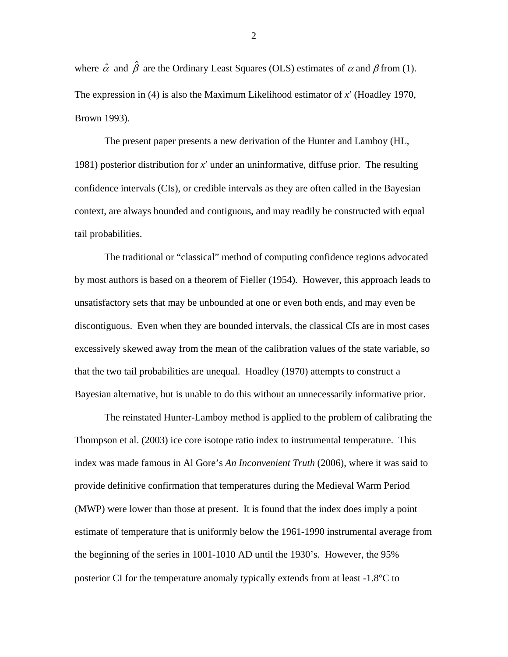where  $\hat{\alpha}$  and  $\hat{\beta}$  are the Ordinary Least Squares (OLS) estimates of  $\alpha$  and  $\beta$  from (1). The expression in (4) is also the Maximum Likelihood estimator of *x*′ (Hoadley 1970, Brown 1993).

 The present paper presents a new derivation of the Hunter and Lamboy (HL, 1981) posterior distribution for *x*′ under an uninformative, diffuse prior. The resulting confidence intervals (CIs), or credible intervals as they are often called in the Bayesian context, are always bounded and contiguous, and may readily be constructed with equal tail probabilities.

 The traditional or "classical" method of computing confidence regions advocated by most authors is based on a theorem of Fieller (1954). However, this approach leads to unsatisfactory sets that may be unbounded at one or even both ends, and may even be discontiguous. Even when they are bounded intervals, the classical CIs are in most cases excessively skewed away from the mean of the calibration values of the state variable, so that the two tail probabilities are unequal. Hoadley (1970) attempts to construct a Bayesian alternative, but is unable to do this without an unnecessarily informative prior.

 The reinstated Hunter-Lamboy method is applied to the problem of calibrating the Thompson et al. (2003) ice core isotope ratio index to instrumental temperature. This index was made famous in Al Gore's *An Inconvenient Truth* (2006), where it was said to provide definitive confirmation that temperatures during the Medieval Warm Period (MWP) were lower than those at present. It is found that the index does imply a point estimate of temperature that is uniformly below the 1961-1990 instrumental average from the beginning of the series in 1001-1010 AD until the 1930's. However, the 95% posterior CI for the temperature anomaly typically extends from at least -1.8°C to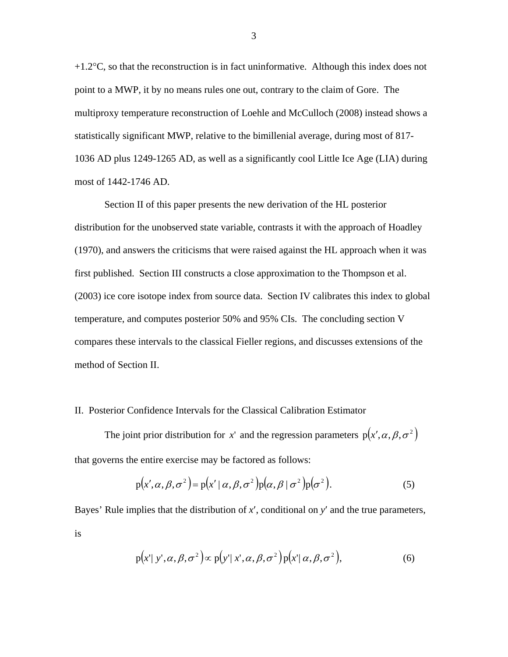$+1.2$ °C, so that the reconstruction is in fact uninformative. Although this index does not point to a MWP, it by no means rules one out, contrary to the claim of Gore. The multiproxy temperature reconstruction of Loehle and McCulloch (2008) instead shows a statistically significant MWP, relative to the bimillenial average, during most of 817- 1036 AD plus 1249-1265 AD, as well as a significantly cool Little Ice Age (LIA) during most of 1442-1746 AD.

 Section II of this paper presents the new derivation of the HL posterior distribution for the unobserved state variable, contrasts it with the approach of Hoadley (1970), and answers the criticisms that were raised against the HL approach when it was first published. Section III constructs a close approximation to the Thompson et al. (2003) ice core isotope index from source data. Section IV calibrates this index to global temperature, and computes posterior 50% and 95% CIs. The concluding section V compares these intervals to the classical Fieller regions, and discusses extensions of the method of Section II.

## II. Posterior Confidence Intervals for the Classical Calibration Estimator

The joint prior distribution for *x*' and the regression parameters  $p(x', \alpha, \beta, \sigma^2)$ that governs the entire exercise may be factored as follows:

$$
p(x', \alpha, \beta, \sigma^2) = p(x' | \alpha, \beta, \sigma^2) p(\alpha, \beta | \sigma^2) p(\sigma^2).
$$
 (5)

Bayes' Rule implies that the distribution of *x*′, conditional on *y*′ and the true parameters, is

$$
p(x'|y',\alpha,\beta,\sigma^2) \propto p(y'|x',\alpha,\beta,\sigma^2)p(x'|\alpha,\beta,\sigma^2),
$$
\n(6)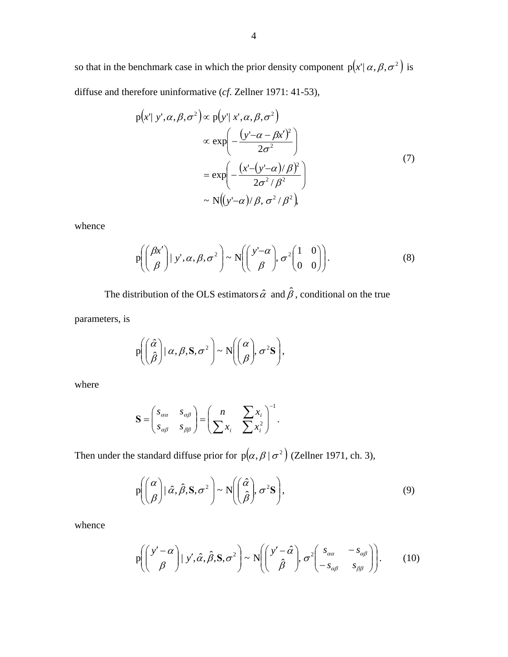so that in the benchmark case in which the prior density component  $p(x' | \alpha, \beta, \sigma^2)$  is diffuse and therefore uninformative (*cf*. Zellner 1971: 41-53),

$$
p(x' | y', \alpha, \beta, \sigma^2) \propto p(y' | x', \alpha, \beta, \sigma^2)
$$
  

$$
\propto \exp\left(-\frac{(y' - \alpha - \beta x')^2}{2\sigma^2}\right)
$$
  

$$
= \exp\left(-\frac{(x' - (y' - \alpha)/\beta)^2}{2\sigma^2/\beta^2}\right)
$$
  

$$
\sim N((y' - \alpha)/\beta, \sigma^2/\beta^2).
$$
 (7)

whence

$$
p\left(\begin{pmatrix} \beta x' \\ \beta \end{pmatrix} \mid y', \alpha, \beta, \sigma^2\right) \sim N\left(\begin{pmatrix} y'-\alpha \\ \beta \end{pmatrix}, \sigma^2 \begin{pmatrix} 1 & 0 \\ 0 & 0 \end{pmatrix}\right). \tag{8}
$$

The distribution of the OLS estimators  $\hat{\alpha}$  and  $\hat{\beta}$ , conditional on the true

parameters, is

$$
P\left(\begin{pmatrix} \hat{\alpha} \\ \hat{\beta} \end{pmatrix} | \alpha, \beta, S, \sigma^2 \right) \sim N\left(\begin{pmatrix} \alpha \\ \beta \end{pmatrix}, \sigma^2 S\right),
$$

where

$$
\mathbf{S} = \begin{pmatrix} s_{\alpha\alpha} & s_{\alpha\beta} \\ s_{\alpha\beta} & s_{\beta\beta} \end{pmatrix} = \begin{pmatrix} n & \sum x_i \\ \sum x_i & \sum x_i^2 \end{pmatrix}^{-1}.
$$

Then under the standard diffuse prior for  $p(\alpha, \beta | \sigma^2)$  (Zellner 1971, ch. 3),

$$
P\left(\binom{\alpha}{\beta}|\hat{\alpha},\hat{\beta},S,\sigma^2\right) \sim N\left(\binom{\hat{\alpha}}{\hat{\beta}},\sigma^2S\right),\tag{9}
$$

whence

$$
p\left(\begin{pmatrix}y'-\alpha\\ \beta\end{pmatrix} | y', \hat{\alpha}, \hat{\beta}, S, \sigma^2\right) \sim N\left(\begin{pmatrix}y'-\hat{\alpha}\\ \hat{\beta}\end{pmatrix}, \sigma^2 \begin{pmatrix}s_{\alpha\alpha} & -s_{\alpha\beta}\\ -s_{\alpha\beta} & s_{\beta\beta}\end{pmatrix}\right). \tag{10}
$$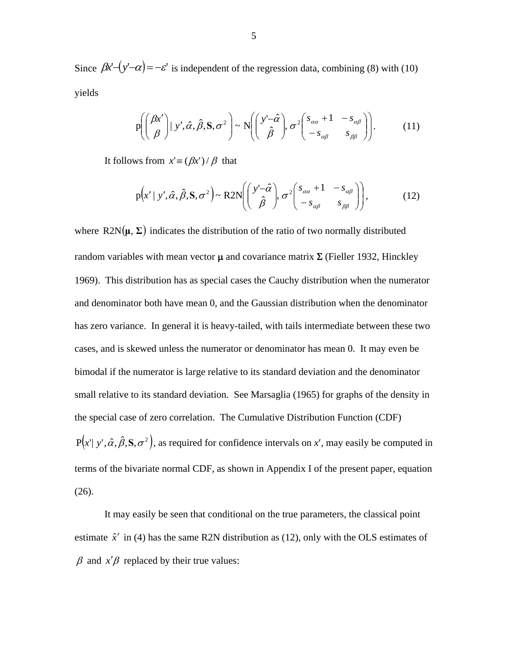Since  $\beta x^2 - (y^2 - \alpha) = -\varepsilon'$  is independent of the regression data, combining (8) with (10) yields

$$
p\left(\begin{pmatrix} \beta x' \\ \beta \end{pmatrix} | y', \hat{\alpha}, \hat{\beta}, S, \sigma^2\right) \sim N\left(\begin{pmatrix} y'-\hat{\alpha} \\ \hat{\beta} \end{pmatrix}, \sigma^2 \begin{pmatrix} s_{\alpha\alpha} + 1 & -s_{\alpha\beta} \\ -s_{\alpha\beta} & s_{\beta\beta} \end{pmatrix}\right).
$$
 (11)

It follows from  $x' \equiv (\beta x')/\beta$  that

$$
p(x' \mid y', \hat{\alpha}, \hat{\beta}, S, \sigma^2) \sim R2N\left(\begin{pmatrix} y'-\hat{\alpha} \\ \hat{\beta} \end{pmatrix}, \sigma^2 \begin{pmatrix} s_{\alpha\alpha} + 1 & -s_{\alpha\beta} \\ -s_{\alpha\beta} & s_{\beta\beta} \end{pmatrix}\right),
$$
(12)

where  $R2N(\mu, \Sigma)$  indicates the distribution of the ratio of two normally distributed random variables with mean vector  $\mu$  and covariance matrix  $\Sigma$  (Fieller 1932, Hinckley 1969). This distribution has as special cases the Cauchy distribution when the numerator and denominator both have mean 0, and the Gaussian distribution when the denominator has zero variance. In general it is heavy-tailed, with tails intermediate between these two cases, and is skewed unless the numerator or denominator has mean 0. It may even be bimodal if the numerator is large relative to its standard deviation and the denominator small relative to its standard deviation. See Marsaglia (1965) for graphs of the density in the special case of zero correlation. The Cumulative Distribution Function (CDF)  $P(x' | y', \hat{\alpha}, \hat{\beta}, S, \sigma^2)$ , as required for confidence intervals on *x'*, may easily be computed in

terms of the bivariate normal CDF, as shown in Appendix I of the present paper, equation (26).

 It may easily be seen that conditional on the true parameters, the classical point estimate  $\hat{x}'$  in (4) has the same R2N distribution as (12), only with the OLS estimates of  $β$  and  $x'β$  replaced by their true values: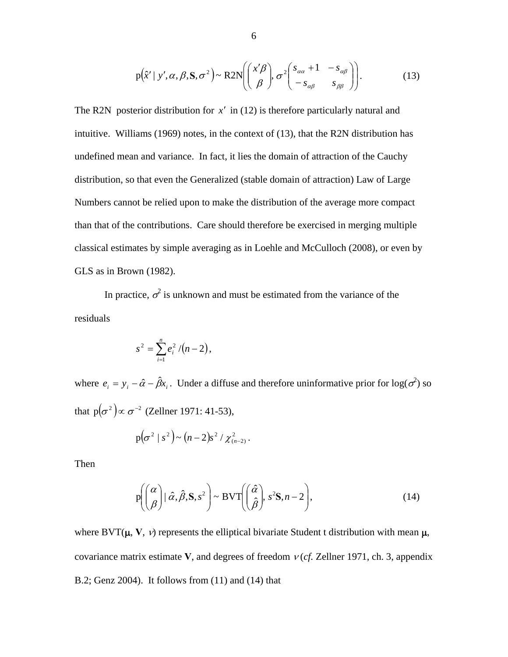$$
p(\hat{x}' \mid y', \alpha, \beta, S, \sigma^2) \sim R2N\left(\begin{pmatrix} x'\beta \\ \beta \end{pmatrix}, \sigma^2 \begin{pmatrix} s_{\alpha\alpha} + 1 & -s_{\alpha\beta} \\ -s_{\alpha\beta} & s_{\beta\beta} \end{pmatrix}\right).
$$
 (13)

The R2N posterior distribution for  $x'$  in (12) is therefore particularly natural and intuitive. Williams (1969) notes, in the context of (13), that the R2N distribution has undefined mean and variance. In fact, it lies the domain of attraction of the Cauchy distribution, so that even the Generalized (stable domain of attraction) Law of Large Numbers cannot be relied upon to make the distribution of the average more compact than that of the contributions. Care should therefore be exercised in merging multiple classical estimates by simple averaging as in Loehle and McCulloch (2008), or even by GLS as in Brown (1982).

In practice,  $\sigma^2$  is unknown and must be estimated from the variance of the residuals

$$
s^2 = \sum_{i=1}^n e_i^2/(n-2),
$$

where  $e_i = y_i - \hat{\alpha} - \hat{\beta} x_i$ . Under a diffuse and therefore uninformative prior for log( $\sigma^2$ ) so that  $p(\sigma^2) \propto \sigma^{-2}$  (Zellner 1971: 41-53),

$$
p(\sigma^2 | s^2) \sim (n-2)s^2 / \chi^2_{(n-2)}
$$
.

Then

$$
P\left(\binom{\alpha}{\beta} \mid \hat{\alpha}, \hat{\beta}, S, s^2\right) \sim \text{BVT}\left(\binom{\hat{\alpha}}{\hat{\beta}}, s^2 S, n-2\right),\tag{14}
$$

where  $BVT(\mu, V, \nu)$  represents the elliptical bivariate Student t distribution with mean  $\mu$ , covariance matrix estimate **V**, and degrees of freedom  $v$  (*cf.* Zellner 1971, ch. 3, appendix B.2; Genz 2004). It follows from (11) and (14) that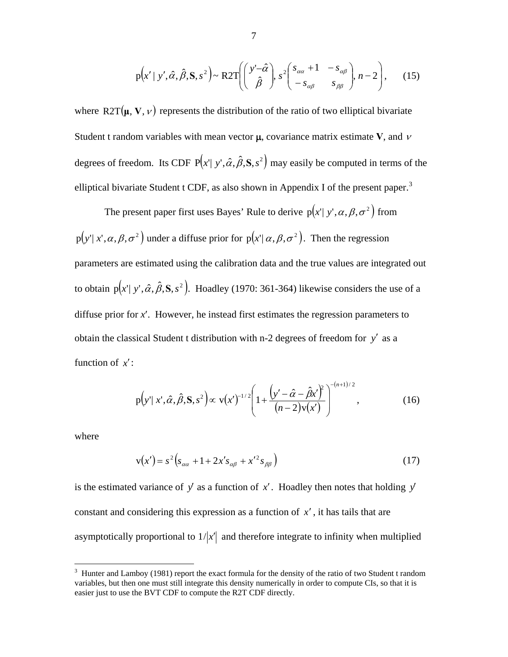$$
p(x' \mid y', \hat{\alpha}, \hat{\beta}, S, s^2) \sim R2T\left(\left(\begin{array}{c}y' - \hat{\alpha} \\ \hat{\beta}\end{array}\right), s^2\left(\begin{array}{cc}s_{\alpha\alpha} + 1 & -s_{\alpha\beta} \\ -s_{\alpha\beta} & s_{\beta\beta}\end{array}\right), n-2\right), \quad (15)
$$

where  $\text{R2T}(\mu, V, \nu)$  represents the distribution of the ratio of two elliptical bivariate Student t random variables with mean vector  $\mu$ , covariance matrix estimate **V**, and  $\nu$ degrees of freedom. Its CDF  $P(x | y', \hat{\alpha}, \hat{\beta}, S, s^2)$  may easily be computed in terms of the elliptical bivariate Student t CDF, as also shown in Appendix I of the present paper.<sup>[3](#page-8-0)</sup>

The present paper first uses Bayes' Rule to derive  $p(x | y', \alpha, \beta, \sigma^2)$  from  $p(y' | x', \alpha, \beta, \sigma^2)$  under a diffuse prior for  $p(x' | \alpha, \beta, \sigma^2)$ . Then the regression parameters are estimated using the calibration data and the true values are integrated out to obtain  $p(x^{\prime} | y^{\prime}, \hat{\alpha}, \hat{\beta}, S, s^2)$ . Hoadley (1970: 361-364) likewise considers the use of a diffuse prior for *x*′. However, he instead first estimates the regression parameters to obtain the classical Student t distribution with n-2 degrees of freedom for y' as a function of  $x'$ :

$$
p(y'|x', \hat{\alpha}, \hat{\beta}, S, s^2) \propto v(x')^{-1/2} \left( 1 + \frac{\left( y' - \hat{\alpha} - \hat{\beta} x' \right)^2}{(n-2)v(x')} \right)^{-(n+1)/2}, \tag{16}
$$

where

 $\overline{a}$ 

$$
v(x') = s^2 \left(s_{\alpha\alpha} + 1 + 2x's_{\alpha\beta} + x'^2 s_{\beta\beta}\right)
$$
 (17)

is the estimated variance of  $y'$  as a function of  $x'$ . Hoadley then notes that holding  $y'$ constant and considering this expression as a function of *x*′ , it has tails that are asymptotically proportional to  $1/x'$  and therefore integrate to infinity when multiplied

<span id="page-8-0"></span> $3$  Hunter and Lamboy (1981) report the exact formula for the density of the ratio of two Student t random variables, but then one must still integrate this density numerically in order to compute CIs, so that it is easier just to use the BVT CDF to compute the R2T CDF directly.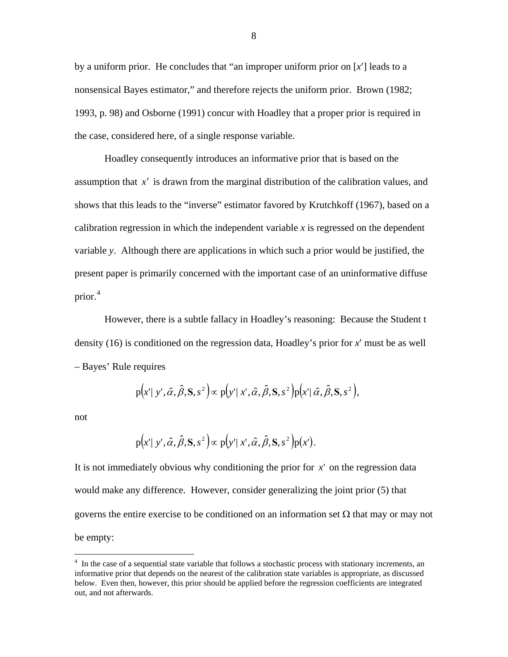by a uniform prior. He concludes that "an improper uniform prior on [*x*′] leads to a nonsensical Bayes estimator," and therefore rejects the uniform prior. Brown (1982; 1993, p. 98) and Osborne (1991) concur with Hoadley that a proper prior is required in the case, considered here, of a single response variable.

Hoadley consequently introduces an informative prior that is based on the assumption that  $x'$  is drawn from the marginal distribution of the calibration values, and shows that this leads to the "inverse" estimator favored by Krutchkoff (1967), based on a calibration regression in which the independent variable  $x$  is regressed on the dependent variable *y*. Although there are applications in which such a prior would be justified, the present paper is primarily concerned with the important case of an uninformative diffuse prior. [4](#page-9-0)

However, there is a subtle fallacy in Hoadley's reasoning: Because the Student t density (16) is conditioned on the regression data, Hoadley's prior for *x*′ must be as well – Bayes' Rule requires

$$
p(x' \mid y', \hat{\alpha}, \hat{\beta}, S, s^2) \propto p(y' \mid x', \hat{\alpha}, \hat{\beta}, S, s^2) p(x' \mid \hat{\alpha}, \hat{\beta}, S, s^2),
$$

not

 $\overline{a}$ 

$$
p(x' \mid y', \hat{\alpha}, \hat{\beta}, S, s^2) \propto p(y' \mid x', \hat{\alpha}, \hat{\beta}, S, s^2) p(x').
$$

It is not immediately obvious why conditioning the prior for  $x'$  on the regression data would make any difference. However, consider generalizing the joint prior (5) that governs the entire exercise to be conditioned on an information set  $\Omega$  that may or may not be empty:

<span id="page-9-0"></span><sup>&</sup>lt;sup>4</sup> In the case of a sequential state variable that follows a stochastic process with stationary increments, an informative prior that depends on the nearest of the calibration state variables is appropriate, as discussed below. Even then, however, this prior should be applied before the regression coefficients are integrated out, and not afterwards.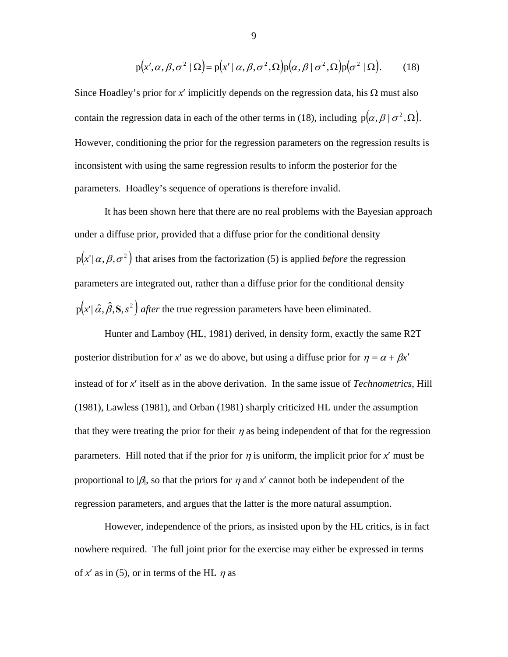$$
p(x', \alpha, \beta, \sigma^2 | \Omega) = p(x' | \alpha, \beta, \sigma^2, \Omega) p(\alpha, \beta | \sigma^2, \Omega) p(\sigma^2 | \Omega).
$$
 (18)

Since Hoadley's prior for x' implicitly depends on the regression data, his  $\Omega$  must also contain the regression data in each of the other terms in (18), including  $p(\alpha, \beta | \sigma^2, \Omega)$ . However, conditioning the prior for the regression parameters on the regression results is inconsistent with using the same regression results to inform the posterior for the parameters. Hoadley's sequence of operations is therefore invalid.

 It has been shown here that there are no real problems with the Bayesian approach under a diffuse prior, provided that a diffuse prior for the conditional density  $p(x' | \alpha, \beta, \sigma^2)$  that arises from the factorization (5) is applied *before* the regression parameters are integrated out, rather than a diffuse prior for the conditional density  $p(x' | \hat{\alpha}, \hat{\beta}, S, s^2)$  *after* the true regression parameters have been eliminated.

 Hunter and Lamboy (HL, 1981) derived, in density form, exactly the same R2T posterior distribution for *x'* as we do above, but using a diffuse prior for  $\eta = \alpha + \beta x'$ instead of for *x*′ itself as in the above derivation. In the same issue of *Technometrics*, Hill (1981), Lawless (1981), and Orban (1981) sharply criticized HL under the assumption that they were treating the prior for their  $\eta$  as being independent of that for the regression parameters. Hill noted that if the prior for  $\eta$  is uniform, the implicit prior for  $x'$  must be proportional to  $|\beta|$ , so that the priors for  $\eta$  and x' cannot both be independent of the regression parameters, and argues that the latter is the more natural assumption.

 However, independence of the priors, as insisted upon by the HL critics, is in fact nowhere required. The full joint prior for the exercise may either be expressed in terms of  $x'$  as in (5), or in terms of the HL  $\eta$  as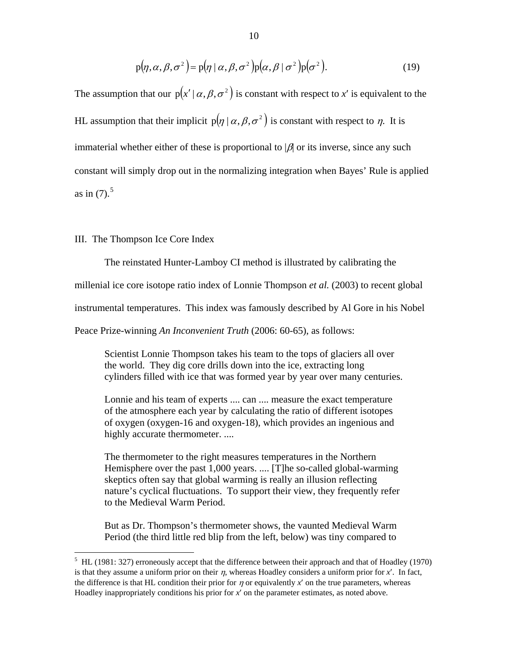$$
p(\eta, \alpha, \beta, \sigma^2) = p(\eta \mid \alpha, \beta, \sigma^2) p(\alpha, \beta \mid \sigma^2) p(\sigma^2).
$$
 (19)

The assumption that our  $p(x' | \alpha, \beta, \sigma^2)$  is constant with respect to *x'* is equivalent to the HL assumption that their implicit  $p(\eta | \alpha, \beta, \sigma^2)$  is constant with respect to  $\eta$ . It is immaterial whether either of these is proportional to  $\beta$  or its inverse, since any such constant will simply drop out in the normalizing integration when Bayes' Rule is applied as in  $(7)$ .<sup>[5](#page-11-0)</sup>

## III. The Thompson Ice Core Index

 $\overline{a}$ 

The reinstated Hunter-Lamboy CI method is illustrated by calibrating the

millenial ice core isotope ratio index of Lonnie Thompson *et al.* (2003) to recent global

instrumental temperatures. This index was famously described by Al Gore in his Nobel

Peace Prize-winning *An Inconvenient Truth* (2006: 60-65), as follows:

 Scientist Lonnie Thompson takes his team to the tops of glaciers all over the world. They dig core drills down into the ice, extracting long cylinders filled with ice that was formed year by year over many centuries.

 Lonnie and his team of experts .... can .... measure the exact temperature of the atmosphere each year by calculating the ratio of different isotopes of oxygen (oxygen-16 and oxygen-18), which provides an ingenious and highly accurate thermometer. ....

 The thermometer to the right measures temperatures in the Northern Hemisphere over the past 1,000 years. .... [T]he so-called global-warming skeptics often say that global warming is really an illusion reflecting nature's cyclical fluctuations. To support their view, they frequently refer to the Medieval Warm Period.

 But as Dr. Thompson's thermometer shows, the vaunted Medieval Warm Period (the third little red blip from the left, below) was tiny compared to

<span id="page-11-0"></span> $<sup>5</sup>$  HL (1981: 327) erroneously accept that the difference between their approach and that of Hoadley (1970)</sup> is that they assume a uniform prior on their η, whereas Hoadley considers a uniform prior for *x*′. In fact, the difference is that HL condition their prior for  $\eta$  or equivalently  $x'$  on the true parameters, whereas Hoadley inappropriately conditions his prior for *x*′ on the parameter estimates, as noted above.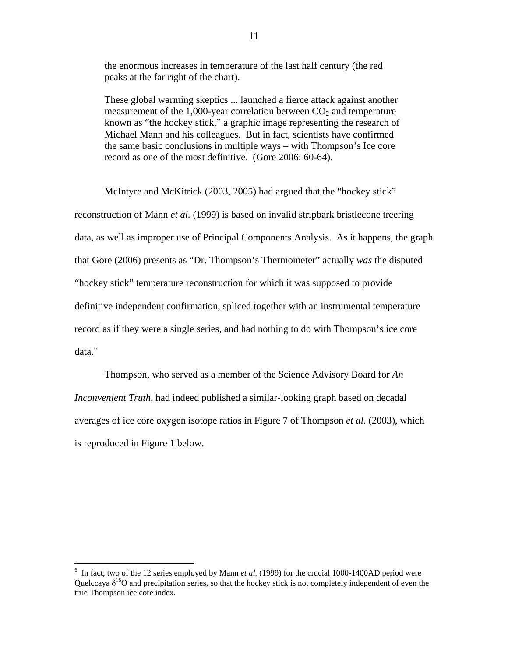the enormous increases in temperature of the last half century (the red peaks at the far right of the chart).

 These global warming skeptics ... launched a fierce attack against another measurement of the 1,000-year correlation between  $CO<sub>2</sub>$  and temperature known as "the hockey stick," a graphic image representing the research of Michael Mann and his colleagues. But in fact, scientists have confirmed the same basic conclusions in multiple ways – with Thompson's Ice core record as one of the most definitive. (Gore 2006: 60-64).

 McIntyre and McKitrick (2003, 2005) had argued that the "hockey stick" reconstruction of Mann *et al.* (1999) is based on invalid stripbark bristlecone treering data, as well as improper use of Principal Components Analysis. As it happens, the graph that Gore (2006) presents as "Dr. Thompson's Thermometer" actually *was* the disputed "hockey stick" temperature reconstruction for which it was supposed to provide definitive independent confirmation, spliced together with an instrumental temperature record as if they were a single series, and had nothing to do with Thompson's ice core data.<sup>[6](#page-12-0)</sup>

Thompson, who served as a member of the Science Advisory Board for *An Inconvenient Truth*, had indeed published a similar-looking graph based on decadal averages of ice core oxygen isotope ratios in Figure 7 of Thompson *et al*. (2003), which is reproduced in Figure 1 below.

 $\overline{a}$ 

<span id="page-12-0"></span><sup>&</sup>lt;sup>6</sup> In fact, two of the 12 series employed by Mann *et al.* (1999) for the crucial 1000-1400AD period were Quelccaya  $\delta^{18}$ O and precipitation series, so that the hockey stick is not completely independent of even the true Thompson ice core index.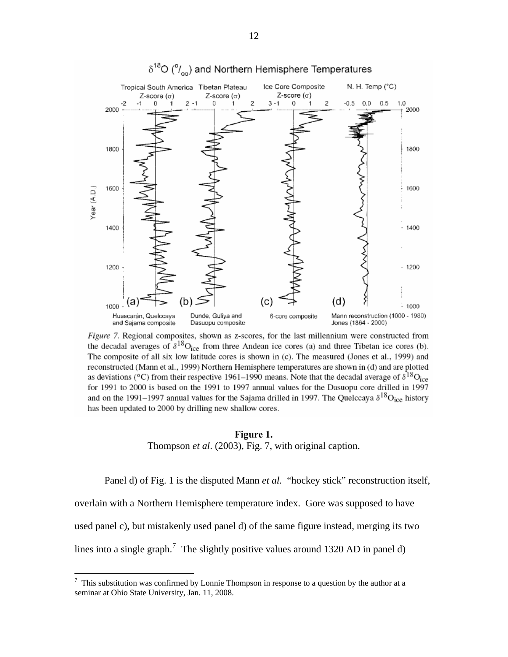

# $\delta^{18}O$  ( $\%$ ) and Northern Hemisphere Temperatures

Figure 7. Regional composites, shown as z-scores, for the last millennium were constructed from the decadal averages of  $\delta^{18}O_{\text{ice}}$  from three Andean ice cores (a) and three Tibetan ice cores (b). The composite of all six low latitude cores is shown in (c). The measured (Jones et al., 1999) and reconstructed (Mann et al., 1999) Northern Hemisphere temperatures are shown in (d) and are plotted as deviations (°C) from their respective 1961–1990 means. Note that the decadal average of  $\delta^{18}O_{\text{ice}}$ for 1991 to 2000 is based on the 1991 to 1997 annual values for the Dasuopu core drilled in 1997 and on the 1991–1997 annual values for the Sajama drilled in 1997. The Quelccaya  $\delta^{18}O_{\text{ice}}$  history has been updated to 2000 by drilling new shallow cores.

### **Figure 1.**

Thompson *et al*. (2003), Fig. 7, with original caption.

Panel d) of Fig. 1 is the disputed Mann *et al.* "hockey stick" reconstruction itself,

overlain with a Northern Hemisphere temperature index. Gore was supposed to have

used panel c), but mistakenly used panel d) of the same figure instead, merging its two

lines into a single graph.<sup>[7](#page-13-0)</sup> The slightly positive values around 1320 AD in panel d)

<span id="page-13-0"></span><sup>-&</sup>lt;br>7 This substitution was confirmed by Lonnie Thompson in response to a question by the author at a seminar at Ohio State University, Jan. 11, 2008.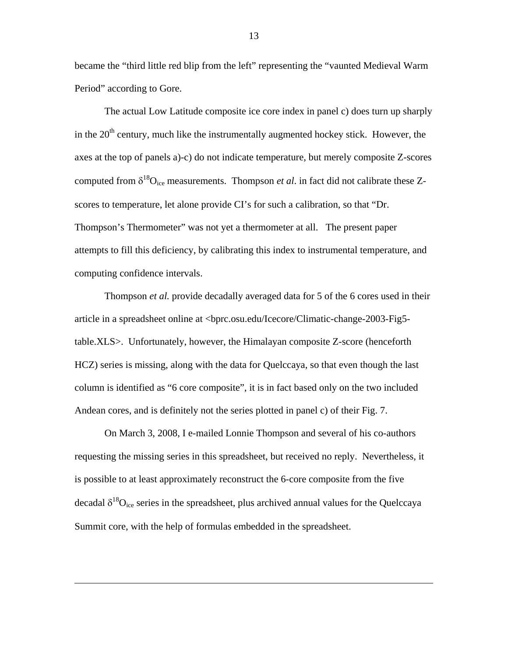became the "third little red blip from the left" representing the "vaunted Medieval Warm Period" according to Gore.

 The actual Low Latitude composite ice core index in panel c) does turn up sharply in the  $20<sup>th</sup>$  century, much like the instrumentally augmented hockey stick. However, the axes at the top of panels a)-c) do not indicate temperature, but merely composite Z-scores computed from  $\delta^{18}O_{\text{ice}}$  measurements. Thompson *et al*. in fact did not calibrate these Zscores to temperature, let alone provide CI's for such a calibration, so that "Dr. Thompson's Thermometer" was not yet a thermometer at all. The present paper attempts to fill this deficiency, by calibrating this index to instrumental temperature, and computing confidence intervals.

 Thompson *et al.* provide decadally averaged data for 5 of the 6 cores used in their article in a spreadsheet online at <bprc.osu.edu/Icecore/Climatic-change-2003-Fig5 table.XLS>. Unfortunately, however, the Himalayan composite Z-score (henceforth HCZ) series is missing, along with the data for Quelccaya, so that even though the last column is identified as "6 core composite", it is in fact based only on the two included Andean cores, and is definitely not the series plotted in panel c) of their Fig. 7.

 On March 3, 2008, I e-mailed Lonnie Thompson and several of his co-authors requesting the missing series in this spreadsheet, but received no reply. Nevertheless, it is possible to at least approximately reconstruct the 6-core composite from the five decadal  $\delta^{18}O_{\text{ice}}$  series in the spreadsheet, plus archived annual values for the Quelccaya Summit core, with the help of formulas embedded in the spreadsheet.

 $\overline{a}$ 

13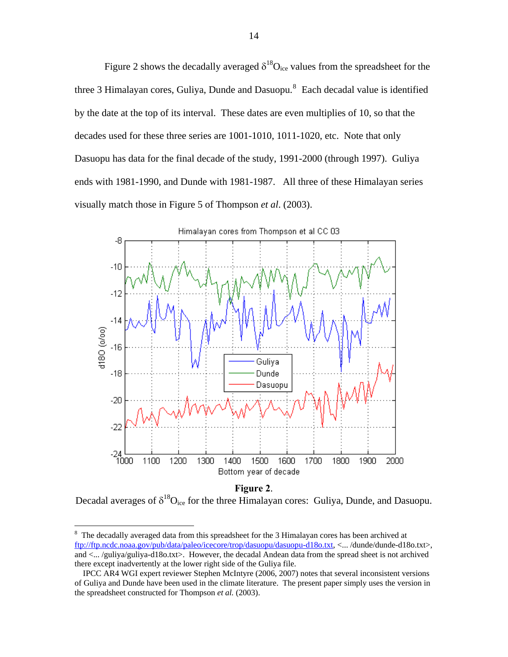Figure 2 shows the decadally averaged  $\delta^{18}O_{\text{ice}}$  values from the spreadsheet for the three 3 Himalayan cores, Guliya, Dunde and Dasuopu. $^8$  $^8$  Each decadal value is identified by the date at the top of its interval. These dates are even multiplies of 10, so that the decades used for these three series are 1001-1010, 1011-1020, etc. Note that only Dasuopu has data for the final decade of the study, 1991-2000 (through 1997). Guliya ends with 1981-1990, and Dunde with 1981-1987. All three of these Himalayan series visually match those in Figure 5 of Thompson *et al*. (2003).



#### **Figure 2**.

Decadal averages of  $\delta^{18}O_{ice}$  for the three Himalayan cores: Guliya, Dunde, and Dasuopu.

 $\overline{a}$ 

<span id="page-15-0"></span> $8\text{ The decadally averaged data from this spreadsheet for the 3 Himalayan cores has been archived at }$ [ftp://ftp.ncdc.noaa.gov/pub/data/paleo/icecore/trop/dasuopu/dasuopu-d18o.txt,](ftp://ftp.ncdc.noaa.gov/pub/data/paleo/icecore/trop/dasuopu/dasuopu-d18o.txt) <... /dunde/dunde-d18o.txt>, and <... /guliya/guliya-d18o.txt>. However, the decadal Andean data from the spread sheet is not archived there except inadvertently at the lower right side of the Guliya file.

IPCC AR4 WGI expert reviewer Stephen McIntyre (2006, 2007) notes that several inconsistent versions of Guliya and Dunde have been used in the climate literature. The present paper simply uses the version in the spreadsheet constructed for Thompson *et al.* (2003).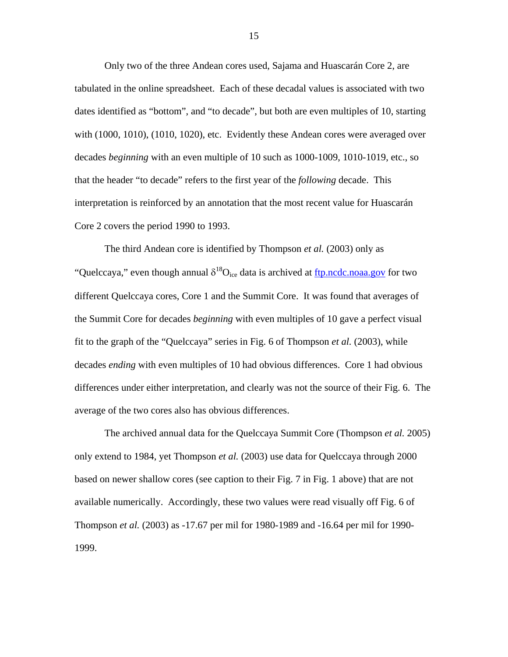Only two of the three Andean cores used, Sajama and Huascarán Core 2, are tabulated in the online spreadsheet. Each of these decadal values is associated with two dates identified as "bottom", and "to decade", but both are even multiples of 10, starting with (1000, 1010), (1010, 1020), etc. Evidently these Andean cores were averaged over decades *beginning* with an even multiple of 10 such as 1000-1009, 1010-1019, etc., so that the header "to decade" refers to the first year of the *following* decade. This interpretation is reinforced by an annotation that the most recent value for Huascarán Core 2 covers the period 1990 to 1993.

 The third Andean core is identified by Thompson *et al.* (2003) only as "Quelccaya," even though annual  $\delta^{18}O_{ice}$  data is archived at [ftp.ncdc.noaa.gov](ftp://ftp.ncdc.noaa.gov/) for two different Quelccaya cores, Core 1 and the Summit Core. It was found that averages of the Summit Core for decades *beginning* with even multiples of 10 gave a perfect visual fit to the graph of the "Quelccaya" series in Fig. 6 of Thompson *et al.* (2003), while decades *ending* with even multiples of 10 had obvious differences. Core 1 had obvious differences under either interpretation, and clearly was not the source of their Fig. 6. The average of the two cores also has obvious differences.

The archived annual data for the Quelccaya Summit Core (Thompson *et al.* 2005) only extend to 1984, yet Thompson *et al.* (2003) use data for Quelccaya through 2000 based on newer shallow cores (see caption to their Fig. 7 in Fig. 1 above) that are not available numerically. Accordingly, these two values were read visually off Fig. 6 of Thompson *et al.* (2003) as -17.67 per mil for 1980-1989 and -16.64 per mil for 1990- 1999.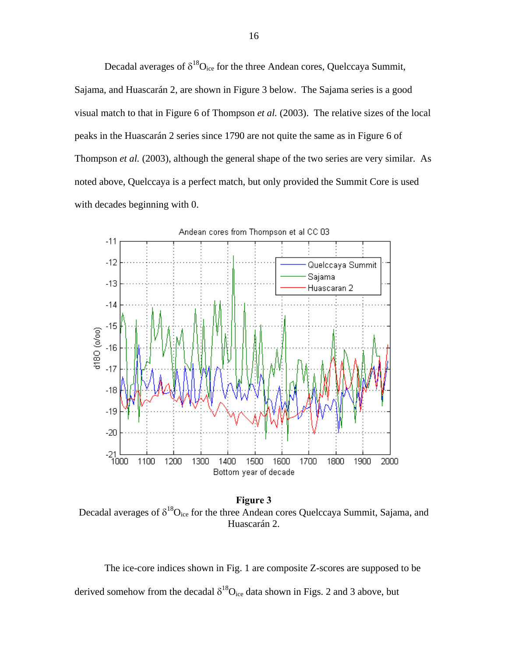Decadal averages of  $\delta^{18}O_{\text{ice}}$  for the three Andean cores, Quelccaya Summit,

Sajama, and Huascarán 2, are shown in Figure 3 below. The Sajama series is a good visual match to that in Figure 6 of Thompson *et al.* (2003). The relative sizes of the local peaks in the Huascarán 2 series since 1790 are not quite the same as in Figure 6 of Thompson *et al.* (2003), although the general shape of the two series are very similar. As noted above, Quelccaya is a perfect match, but only provided the Summit Core is used with decades beginning with 0.



**Figure 3** Decadal averages of  $\delta^{18}O_{ice}$  for the three Andean cores Quelccaya Summit, Sajama, and Huascarán 2.

 The ice-core indices shown in Fig. 1 are composite Z-scores are supposed to be derived somehow from the decadal  $\delta^{18}O_{ice}$  data shown in Figs. 2 and 3 above, but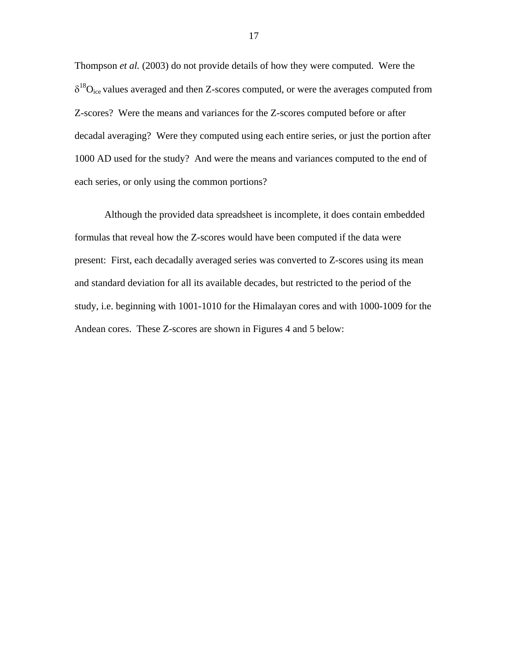Thompson *et al.* (2003) do not provide details of how they were computed. Were the  $\delta^{18}O_{\text{ice}}$  values averaged and then Z-scores computed, or were the averages computed from Z-scores? Were the means and variances for the Z-scores computed before or after decadal averaging? Were they computed using each entire series, or just the portion after 1000 AD used for the study? And were the means and variances computed to the end of each series, or only using the common portions?

Although the provided data spreadsheet is incomplete, it does contain embedded formulas that reveal how the Z-scores would have been computed if the data were present: First, each decadally averaged series was converted to Z-scores using its mean and standard deviation for all its available decades, but restricted to the period of the study, i.e. beginning with 1001-1010 for the Himalayan cores and with 1000-1009 for the Andean cores. These Z-scores are shown in Figures 4 and 5 below: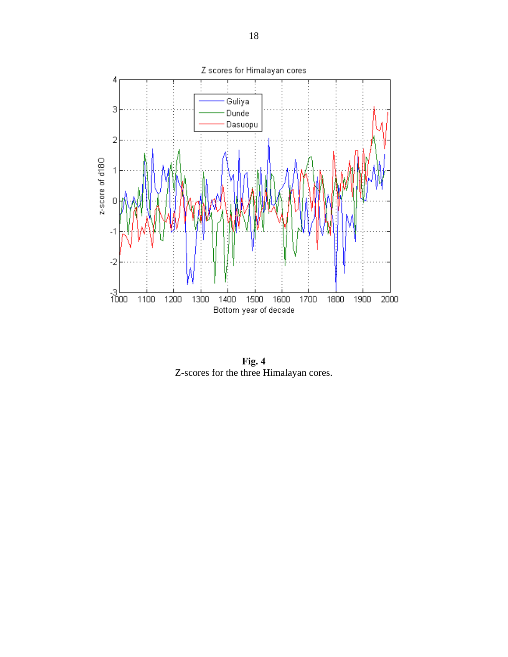

**Fig. 4**  Z-scores for the three Himalayan cores.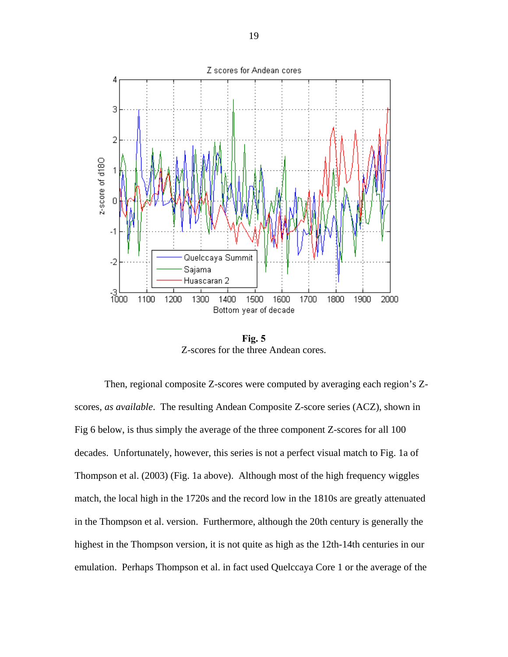

**Fig. 5**  Z-scores for the three Andean cores.

 Then, regional composite Z-scores were computed by averaging each region's Zscores, *as available*. The resulting Andean Composite Z-score series (ACZ), shown in Fig 6 below, is thus simply the average of the three component Z-scores for all 100 decades. Unfortunately, however, this series is not a perfect visual match to Fig. 1a of Thompson et al. (2003) (Fig. 1a above). Although most of the high frequency wiggles match, the local high in the 1720s and the record low in the 1810s are greatly attenuated in the Thompson et al. version. Furthermore, although the 20th century is generally the highest in the Thompson version, it is not quite as high as the 12th-14th centuries in our emulation. Perhaps Thompson et al. in fact used Quelccaya Core 1 or the average of the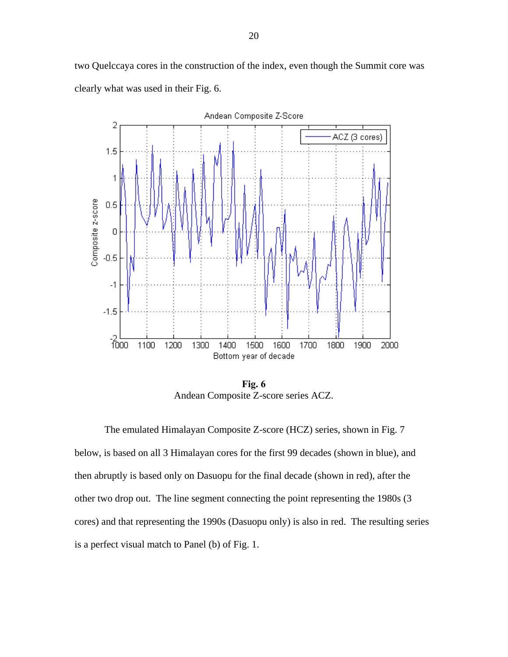two Quelccaya cores in the construction of the index, even though the Summit core was clearly what was used in their Fig. 6.



**Fig. 6**  Andean Composite Z-score series ACZ.

 The emulated Himalayan Composite Z-score (HCZ) series, shown in Fig. 7 below, is based on all 3 Himalayan cores for the first 99 decades (shown in blue), and then abruptly is based only on Dasuopu for the final decade (shown in red), after the other two drop out. The line segment connecting the point representing the 1980s (3 cores) and that representing the 1990s (Dasuopu only) is also in red. The resulting series is a perfect visual match to Panel (b) of Fig. 1.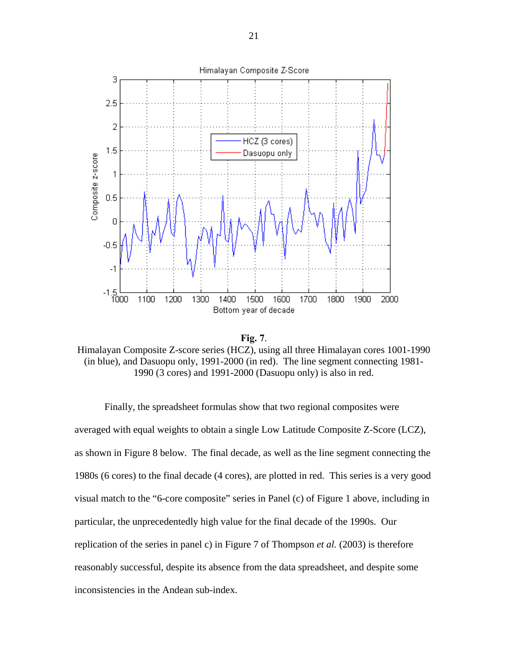



Himalayan Composite Z-score series (HCZ), using all three Himalayan cores 1001-1990 (in blue), and Dasuopu only, 1991-2000 (in red). The line segment connecting 1981- 1990 (3 cores) and 1991-2000 (Dasuopu only) is also in red.

Finally, the spreadsheet formulas show that two regional composites were averaged with equal weights to obtain a single Low Latitude Composite Z-Score (LCZ), as shown in Figure 8 below. The final decade, as well as the line segment connecting the 1980s (6 cores) to the final decade (4 cores), are plotted in red. This series is a very good visual match to the "6-core composite" series in Panel (c) of Figure 1 above, including in particular, the unprecedentedly high value for the final decade of the 1990s. Our replication of the series in panel c) in Figure 7 of Thompson *et al.* (2003) is therefore reasonably successful, despite its absence from the data spreadsheet, and despite some inconsistencies in the Andean sub-index.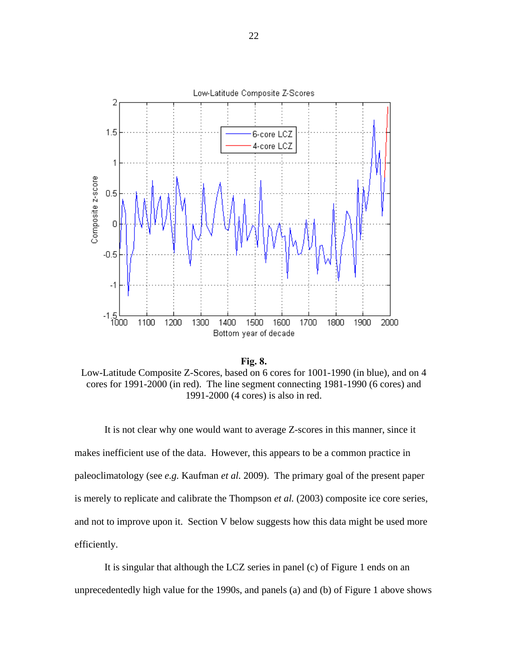

**Fig. 8.** Low-Latitude Composite Z-Scores, based on 6 cores for 1001-1990 (in blue), and on 4 cores for 1991-2000 (in red). The line segment connecting 1981-1990 (6 cores) and 1991-2000 (4 cores) is also in red.

 It is not clear why one would want to average Z-scores in this manner, since it makes inefficient use of the data. However, this appears to be a common practice in paleoclimatology (see *e.g.* Kaufman *et al.* 2009). The primary goal of the present paper is merely to replicate and calibrate the Thompson *et al.* (2003) composite ice core series, and not to improve upon it. Section V below suggests how this data might be used more efficiently.

 It is singular that although the LCZ series in panel (c) of Figure 1 ends on an unprecedentedly high value for the 1990s, and panels (a) and (b) of Figure 1 above shows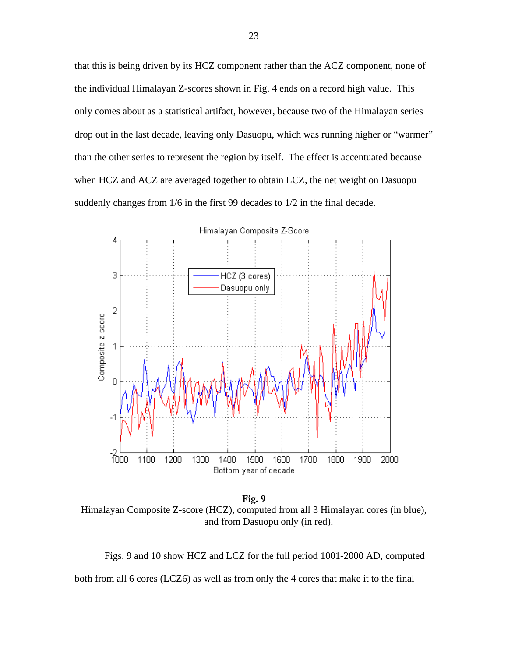that this is being driven by its HCZ component rather than the ACZ component, none of the individual Himalayan Z-scores shown in Fig. 4 ends on a record high value. This only comes about as a statistical artifact, however, because two of the Himalayan series drop out in the last decade, leaving only Dasuopu, which was running higher or "warmer" than the other series to represent the region by itself. The effect is accentuated because when HCZ and ACZ are averaged together to obtain LCZ, the net weight on Dasuopu suddenly changes from 1/6 in the first 99 decades to 1/2 in the final decade.



**Fig. 9**  Himalayan Composite Z-score (HCZ), computed from all 3 Himalayan cores (in blue), and from Dasuopu only (in red).

 Figs. 9 and 10 show HCZ and LCZ for the full period 1001-2000 AD, computed both from all 6 cores (LCZ6) as well as from only the 4 cores that make it to the final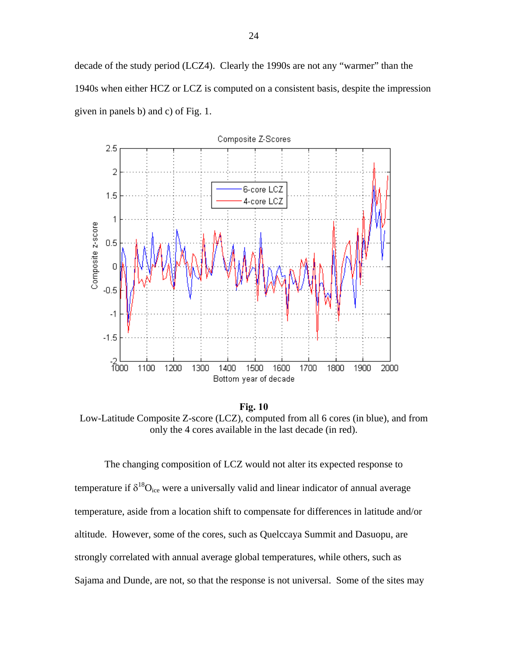decade of the study period (LCZ4). Clearly the 1990s are not any "warmer" than the 1940s when either HCZ or LCZ is computed on a consistent basis, despite the impression given in panels b) and c) of Fig. 1.



**Fig. 10**  Low-Latitude Composite Z-score (LCZ), computed from all 6 cores (in blue), and from only the 4 cores available in the last decade (in red).

 The changing composition of LCZ would not alter its expected response to temperature if  $\delta^{18}O_{\text{ice}}$  were a universally valid and linear indicator of annual average temperature, aside from a location shift to compensate for differences in latitude and/or altitude. However, some of the cores, such as Quelccaya Summit and Dasuopu, are strongly correlated with annual average global temperatures, while others, such as Sajama and Dunde, are not, so that the response is not universal. Some of the sites may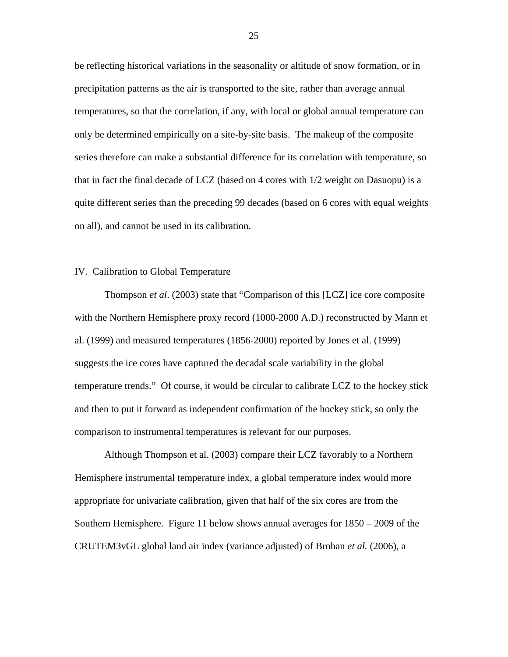be reflecting historical variations in the seasonality or altitude of snow formation, or in precipitation patterns as the air is transported to the site, rather than average annual temperatures, so that the correlation, if any, with local or global annual temperature can only be determined empirically on a site-by-site basis. The makeup of the composite series therefore can make a substantial difference for its correlation with temperature, so that in fact the final decade of LCZ (based on 4 cores with 1/2 weight on Dasuopu) is a quite different series than the preceding 99 decades (based on 6 cores with equal weights on all), and cannot be used in its calibration.

#### IV. Calibration to Global Temperature

 Thompson *et al*. (2003) state that "Comparison of this [LCZ] ice core composite with the Northern Hemisphere proxy record (1000-2000 A.D.) reconstructed by Mann et al. (1999) and measured temperatures (1856-2000) reported by Jones et al. (1999) suggests the ice cores have captured the decadal scale variability in the global temperature trends." Of course, it would be circular to calibrate LCZ to the hockey stick and then to put it forward as independent confirmation of the hockey stick, so only the comparison to instrumental temperatures is relevant for our purposes.

Although Thompson et al. (2003) compare their LCZ favorably to a Northern Hemisphere instrumental temperature index, a global temperature index would more appropriate for univariate calibration, given that half of the six cores are from the Southern Hemisphere. Figure 11 below shows annual averages for 1850 – 2009 of the CRUTEM3vGL global land air index (variance adjusted) of Brohan *et al.* (2006), a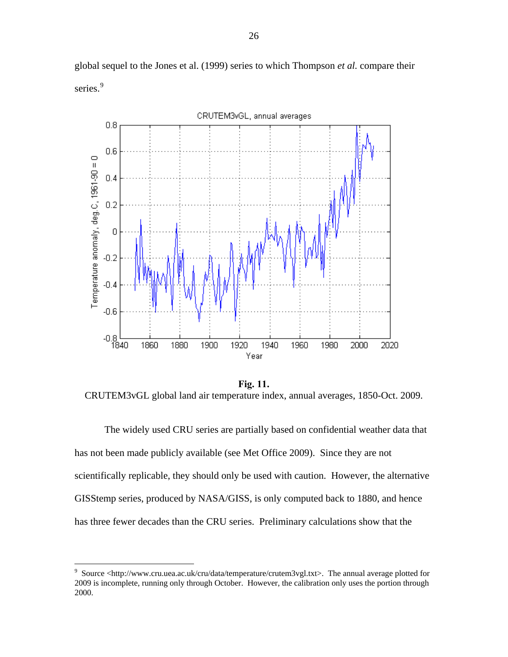

global sequel to the Jones et al. (1999) series to which Thompson *et al.* compare their series.<sup>[9](#page-27-0)</sup>

**Fig. 11.** CRUTEM3vGL global land air temperature index, annual averages, 1850-Oct. 2009.

The widely used CRU series are partially based on confidential weather data that has not been made publicly available (see Met Office 2009). Since they are not scientifically replicable, they should only be used with caution. However, the alternative GISStemp series, produced by NASA/GISS, is only computed back to 1880, and hence has three fewer decades than the CRU series. Preliminary calculations show that the

1

<span id="page-27-0"></span><sup>&</sup>lt;sup>9</sup> Source <http://www.cru.uea.ac.uk/cru/data/temperature/crutem3vgl.txt>. The annual average plotted for 2009 is incomplete, running only through October. However, the calibration only uses the portion through 2000.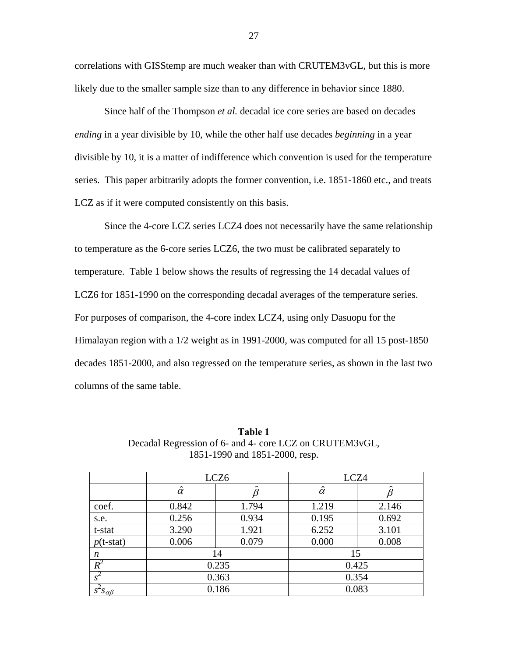correlations with GISStemp are much weaker than with CRUTEM3vGL, but this is more likely due to the smaller sample size than to any difference in behavior since 1880.

 Since half of the Thompson *et al.* decadal ice core series are based on decades *ending* in a year divisible by 10, while the other half use decades *beginning* in a year divisible by 10, it is a matter of indifference which convention is used for the temperature series. This paper arbitrarily adopts the former convention, i.e. 1851-1860 etc., and treats LCZ as if it were computed consistently on this basis.

 Since the 4-core LCZ series LCZ4 does not necessarily have the same relationship to temperature as the 6-core series LCZ6, the two must be calibrated separately to temperature. Table 1 below shows the results of regressing the 14 decadal values of LCZ6 for 1851-1990 on the corresponding decadal averages of the temperature series. For purposes of comparison, the 4-core index LCZ4, using only Dasuopu for the Himalayan region with a 1/2 weight as in 1991-2000, was computed for all 15 post-1850 decades 1851-2000, and also regressed on the temperature series, as shown in the last two columns of the same table.

|                      | LCZ <sub>6</sub> |       | LCZ4           |       |
|----------------------|------------------|-------|----------------|-------|
|                      | $\hat{\alpha}$   |       | $\hat{\alpha}$ |       |
| coef.                | 0.842            | 1.794 | 1.219          | 2.146 |
| s.e.                 | 0.256            | 0.934 | 0.195          | 0.692 |
| t-stat               | 3.290            | 1.921 | 6.252          | 3.101 |
| $p(t-stat)$          | 0.006            | 0.079 | 0.000          | 0.008 |
| n                    | 14               |       | 15             |       |
| $R^2$                | 0.235            |       | 0.425          |       |
| $s^2$                | 0.363            |       | 0.354          |       |
| $s^2s_{\alpha\beta}$ | 0.186            |       | 0.083          |       |

**Table 1**  Decadal Regression of 6- and 4- core LCZ on CRUTEM3vGL, 1851-1990 and 1851-2000, resp.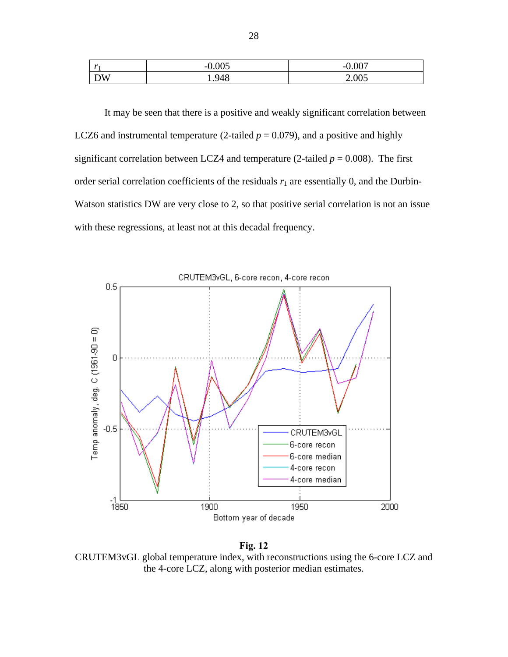| - 7.9   | 0 005<br>-- | .007<br>- 1 |
|---------|-------------|-------------|
| ١W<br>້ | 948         | 2.005       |

 It may be seen that there is a positive and weakly significant correlation between LCZ6 and instrumental temperature (2-tailed  $p = 0.079$ ), and a positive and highly significant correlation between LCZ4 and temperature (2-tailed  $p = 0.008$ ). The first order serial correlation coefficients of the residuals  $r_1$  are essentially 0, and the Durbin-Watson statistics DW are very close to 2, so that positive serial correlation is not an issue with these regressions, at least not at this decadal frequency.





CRUTEM3vGL global temperature index, with reconstructions using the 6-core LCZ and the 4-core LCZ, along with posterior median estimates.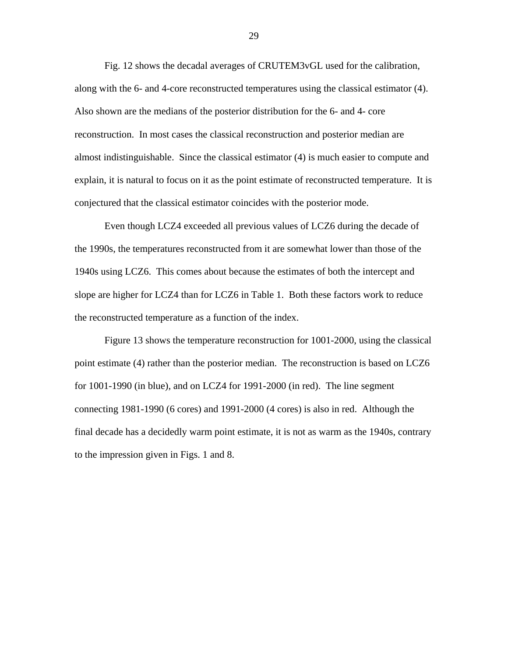Fig. 12 shows the decadal averages of CRUTEM3vGL used for the calibration, along with the 6- and 4-core reconstructed temperatures using the classical estimator (4). Also shown are the medians of the posterior distribution for the 6- and 4- core reconstruction. In most cases the classical reconstruction and posterior median are almost indistinguishable. Since the classical estimator (4) is much easier to compute and explain, it is natural to focus on it as the point estimate of reconstructed temperature. It is conjectured that the classical estimator coincides with the posterior mode.

 Even though LCZ4 exceeded all previous values of LCZ6 during the decade of the 1990s, the temperatures reconstructed from it are somewhat lower than those of the 1940s using LCZ6. This comes about because the estimates of both the intercept and slope are higher for LCZ4 than for LCZ6 in Table 1. Both these factors work to reduce the reconstructed temperature as a function of the index.

 Figure 13 shows the temperature reconstruction for 1001-2000, using the classical point estimate (4) rather than the posterior median. The reconstruction is based on LCZ6 for 1001-1990 (in blue), and on LCZ4 for 1991-2000 (in red). The line segment connecting 1981-1990 (6 cores) and 1991-2000 (4 cores) is also in red. Although the final decade has a decidedly warm point estimate, it is not as warm as the 1940s, contrary to the impression given in Figs. 1 and 8.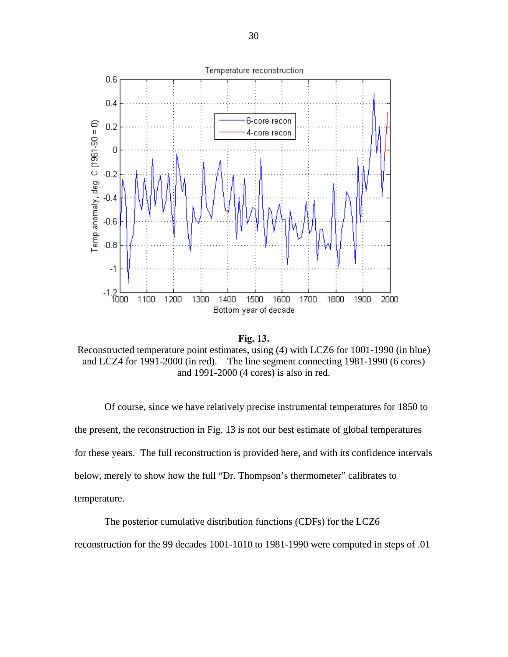

**Fig. 13.** 

Reconstructed temperature point estimates, using (4) with LCZ6 for 1001-1990 (in blue) and LCZ4 for 1991-2000 (in red). The line segment connecting 1981-1990 (6 cores) and 1991-2000 (4 cores) is also in red.

 Of course, since we have relatively precise instrumental temperatures for 1850 to the present, the reconstruction in Fig. 13 is not our best estimate of global temperatures for these years. The full reconstruction is provided here, and with its confidence intervals below, merely to show how the full "Dr. Thompson's thermometer" calibrates to temperature.

The posterior cumulative distribution functions (CDFs) for the LCZ6

reconstruction for the 99 decades 1001-1010 to 1981-1990 were computed in steps of .01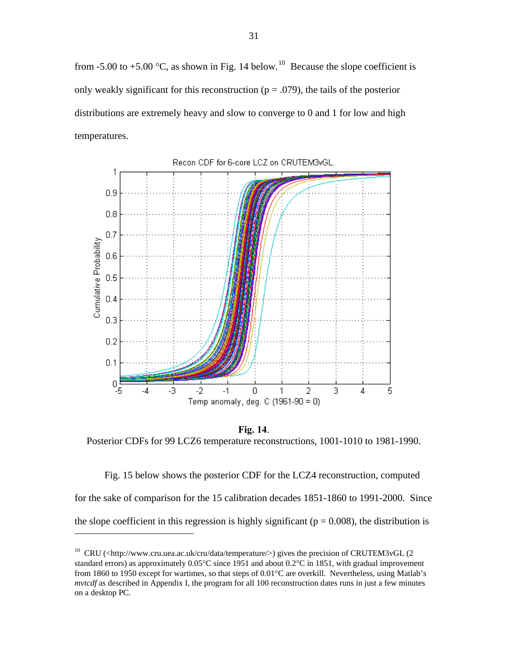from -5.00 to +5.00  $^{\circ}$ C, as shown in Fig. 14 below.<sup>[10](#page-32-0)</sup> Because the slope coefficient is only weakly significant for this reconstruction ( $p = .079$ ), the tails of the posterior distributions are extremely heavy and slow to converge to 0 and 1 for low and high temperatures.



**Fig. 14**. Posterior CDFs for 99 LCZ6 temperature reconstructions, 1001-1010 to 1981-1990.

 Fig. 15 below shows the posterior CDF for the LCZ4 reconstruction, computed for the sake of comparison for the 15 calibration decades 1851-1860 to 1991-2000. Since the slope coefficient in this regression is highly significant ( $p = 0.008$ ), the distribution is

1

<span id="page-32-0"></span><sup>&</sup>lt;sup>10</sup> CRU (<http://www.cru.uea.ac.uk/cru/data/temperature/>) gives the precision of CRUTEM3vGL (2 standard errors) as approximately 0.05°C since 1951 and about 0.2°C in 1851, with gradual improvement from 1860 to 1950 except for wartimes, so that steps of 0.01°C are overkill. Nevertheless, using Matlab's *mvtcdf* as described in Appendix I, the program for all 100 reconstruction dates runs in just a few minutes on a desktop PC.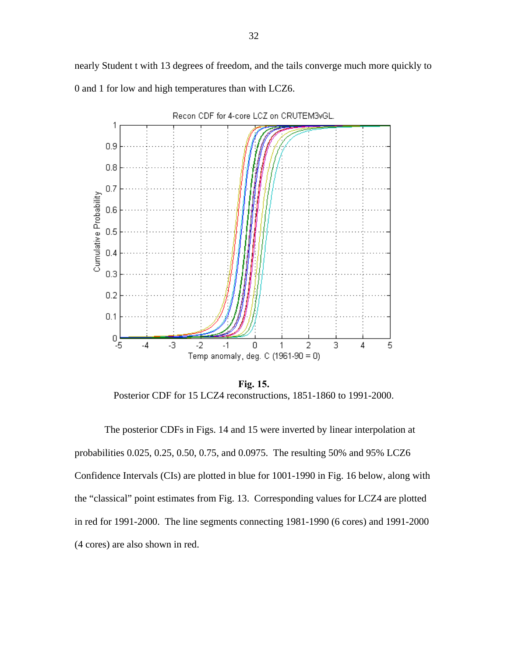nearly Student t with 13 degrees of freedom, and the tails converge much more quickly to 0 and 1 for low and high temperatures than with LCZ6.



**Fig. 15.** Posterior CDF for 15 LCZ4 reconstructions, 1851-1860 to 1991-2000.

 The posterior CDFs in Figs. 14 and 15 were inverted by linear interpolation at probabilities 0.025, 0.25, 0.50, 0.75, and 0.0975. The resulting 50% and 95% LCZ6 Confidence Intervals (CIs) are plotted in blue for 1001-1990 in Fig. 16 below, along with the "classical" point estimates from Fig. 13. Corresponding values for LCZ4 are plotted in red for 1991-2000. The line segments connecting 1981-1990 (6 cores) and 1991-2000 (4 cores) are also shown in red.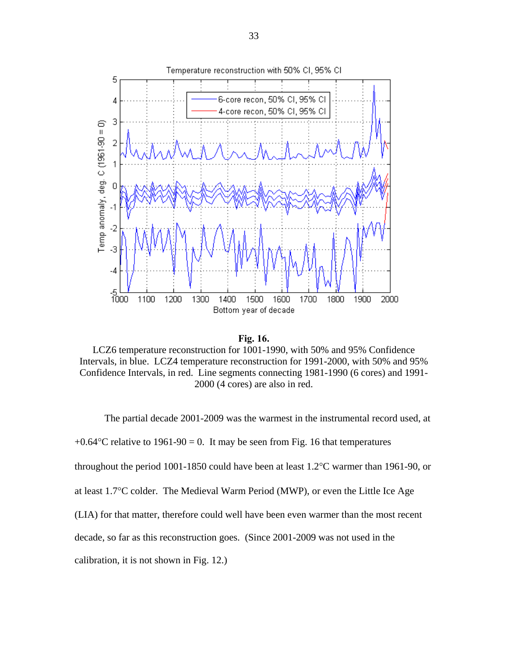

**Fig. 16.** 

LCZ6 temperature reconstruction for 1001-1990, with 50% and 95% Confidence Intervals, in blue. LCZ4 temperature reconstruction for 1991-2000, with 50% and 95% Confidence Intervals, in red. Line segments connecting 1981-1990 (6 cores) and 1991- 2000 (4 cores) are also in red.

 The partial decade 2001-2009 was the warmest in the instrumental record used, at  $+0.64$ °C relative to 1961-90 = 0. It may be seen from Fig. 16 that temperatures throughout the period 1001-1850 could have been at least 1.2°C warmer than 1961-90, or at least 1.7°C colder. The Medieval Warm Period (MWP), or even the Little Ice Age (LIA) for that matter, therefore could well have been even warmer than the most recent decade, so far as this reconstruction goes. (Since 2001-2009 was not used in the calibration, it is not shown in Fig. 12.)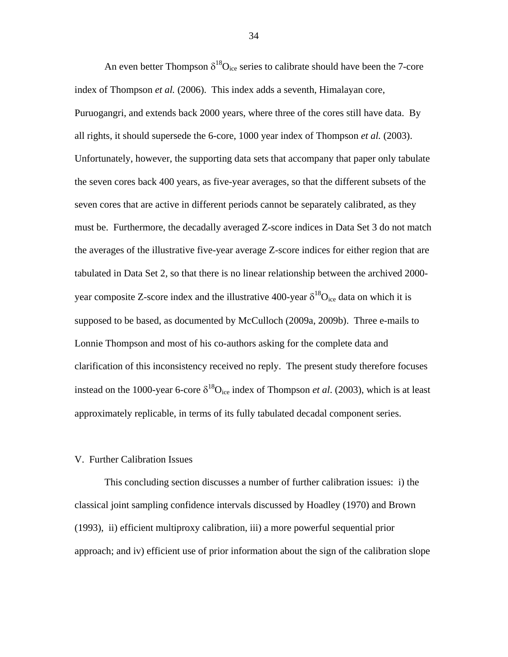An even better Thompson  $\delta^{18}O_{\text{ice}}$  series to calibrate should have been the 7-core index of Thompson *et al.* (2006). This index adds a seventh, Himalayan core, Puruogangri, and extends back 2000 years, where three of the cores still have data. By all rights, it should supersede the 6-core, 1000 year index of Thompson *et al.* (2003). Unfortunately, however, the supporting data sets that accompany that paper only tabulate the seven cores back 400 years, as five-year averages, so that the different subsets of the seven cores that are active in different periods cannot be separately calibrated, as they must be. Furthermore, the decadally averaged Z-score indices in Data Set 3 do not match the averages of the illustrative five-year average Z-score indices for either region that are tabulated in Data Set 2, so that there is no linear relationship between the archived 2000 year composite Z-score index and the illustrative 400-year  $\delta^{18}O_{\text{ice}}$  data on which it is supposed to be based, as documented by McCulloch (2009a, 2009b). Three e-mails to Lonnie Thompson and most of his co-authors asking for the complete data and clarification of this inconsistency received no reply. The present study therefore focuses instead on the 1000-year 6-core  $\delta^{18}O_{\text{ice}}$  index of Thompson *et al.* (2003), which is at least approximately replicable, in terms of its fully tabulated decadal component series.

## V. Further Calibration Issues

 This concluding section discusses a number of further calibration issues: i) the classical joint sampling confidence intervals discussed by Hoadley (1970) and Brown (1993), ii) efficient multiproxy calibration, iii) a more powerful sequential prior approach; and iv) efficient use of prior information about the sign of the calibration slope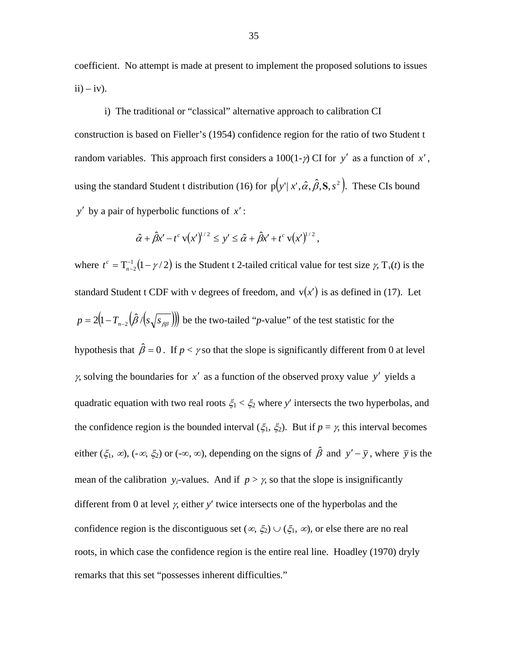coefficient. No attempt is made at present to implement the proposed solutions to issues  $ii) - iv$ ).

 i) The traditional or "classical" alternative approach to calibration CI construction is based on Fieller's (1954) confidence region for the ratio of two Student t random variables. This approach first considers a  $100(1-\gamma)$  CI for *y'* as a function of *x'*, using the standard Student t distribution (16) for  $p(y' | x', \hat{\alpha}, \hat{\beta}, S, s^2)$ . These CIs bound *y*′ by a pair of hyperbolic functions of *x*′ :

$$
\hat{\alpha} + \hat{\beta} x' - t^c \, v(x')^{1/2} \leq y' \leq \hat{\alpha} + \hat{\beta} x' + t^c \, v(x')^{1/2} \,,
$$

where  $t^c = \frac{T_{n-2}^{-1}(1-\gamma/2)}{T_{n-2}}$  is the Student t 2-tailed critical value for test size  $\gamma$ , T  $t^{c} = T_{n-2}^{-1}(1-\gamma/2)$  is the Student t 2-tailed critical value for test size  $\gamma$ ,  $T_{\gamma}(t)$  is the standard Student t CDF with *v* degrees of freedom, and  $v(x')$  is as defined in (17). Let  $p = 2(1 - T_{n-2}(\hat{\beta}/(s\sqrt{s_{\beta\beta}})))$  be the two-tailed "*p*-value" of the test statistic for the hypothesis that  $\hat{\beta} = 0$ . If  $p < \gamma$  so that the slope is significantly different from 0 at level *γ*, solving the boundaries for  $x'$  as a function of the observed proxy value y' yields a quadratic equation with two real roots  $\xi_1 < \xi_2$  where y' intersects the two hyperbolas, and the confidence region is the bounded interval ( $\xi_1$ ,  $\xi_2$ ). But if  $p = \gamma$ , this interval becomes either  $(\xi_1, \infty)$ ,  $(-\infty, \xi_2)$  or  $(-\infty, \infty)$ , depending on the signs of  $\hat{\beta}$  and  $y' - \overline{y}$ , where  $\overline{y}$  is the mean of the calibration *y<sub>i</sub>*-values. And if  $p > \gamma$ , so that the slope is insignificantly different from 0 at level γ, either *y*′ twice intersects one of the hyperbolas and the confidence region is the discontiguous set  $(\infty, \xi_2) \cup (\xi_1, \infty)$ , or else there are no real roots, in which case the confidence region is the entire real line. Hoadley (1970) dryly remarks that this set "possesses inherent difficulties."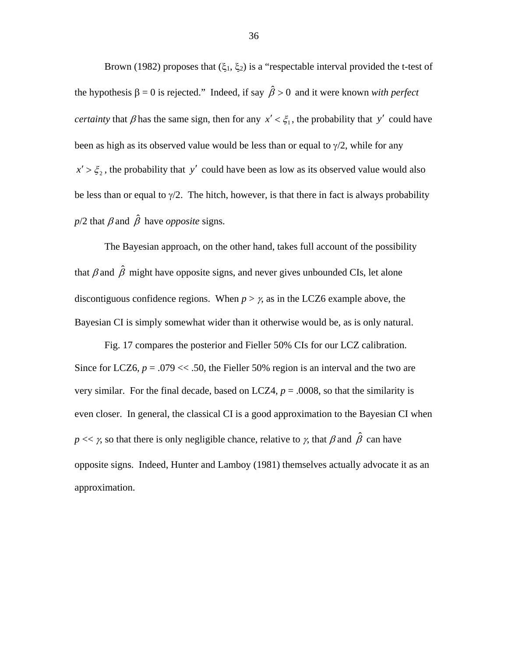Brown (1982) proposes that  $(\xi_1, \xi_2)$  is a "respectable interval provided the t-test of the hypothesis  $\beta = 0$  is rejected." Indeed, if say  $\hat{\beta} > 0$  and it were known *with perfect certainty* that  $\beta$  has the same sign, then for any  $x' < \xi_1$ , the probability that y' could have been as high as its observed value would be less than or equal to  $\gamma/2$ , while for any  $x' > \xi_2$ , the probability that y' could have been as low as its observed value would also be less than or equal to  $\gamma/2$ . The hitch, however, is that there in fact is always probability  $p/2$  that  $\beta$  and  $\hat{\beta}$  have *opposite* signs.

The Bayesian approach, on the other hand, takes full account of the possibility that  $\beta$  and  $\hat{\beta}$  might have opposite signs, and never gives unbounded CIs, let alone discontiguous confidence regions. When  $p > \gamma$ , as in the LCZ6 example above, the Bayesian CI is simply somewhat wider than it otherwise would be, as is only natural.

Fig. 17 compares the posterior and Fieller 50% CIs for our LCZ calibration. Since for LCZ6,  $p = .079 \ll .50$ , the Fieller 50% region is an interval and the two are very similar. For the final decade, based on LCZ4,  $p = .0008$ , so that the similarity is even closer. In general, the classical CI is a good approximation to the Bayesian CI when *p* << *γ*, so that there is only negligible chance, relative to *γ*, that  $\beta$  and  $\hat{\beta}$  can have opposite signs. Indeed, Hunter and Lamboy (1981) themselves actually advocate it as an approximation.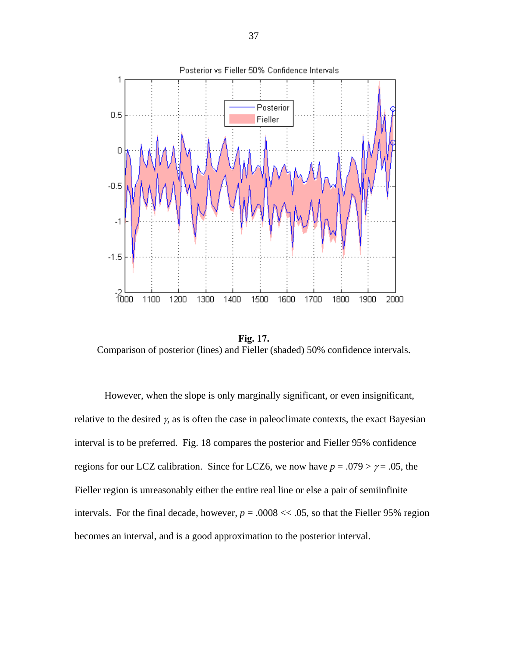

**Fig. 17.**  Comparison of posterior (lines) and Fieller (shaded) 50% confidence intervals.

However, when the slope is only marginally significant, or even insignificant, relative to the desired  $\gamma$ , as is often the case in paleoclimate contexts, the exact Bayesian interval is to be preferred. Fig. 18 compares the posterior and Fieller 95% confidence regions for our LCZ calibration. Since for LCZ6, we now have  $p = .079 > \gamma = .05$ , the Fieller region is unreasonably either the entire real line or else a pair of semiinfinite intervals. For the final decade, however,  $p = .0008 \ll .05$ , so that the Fieller 95% region becomes an interval, and is a good approximation to the posterior interval.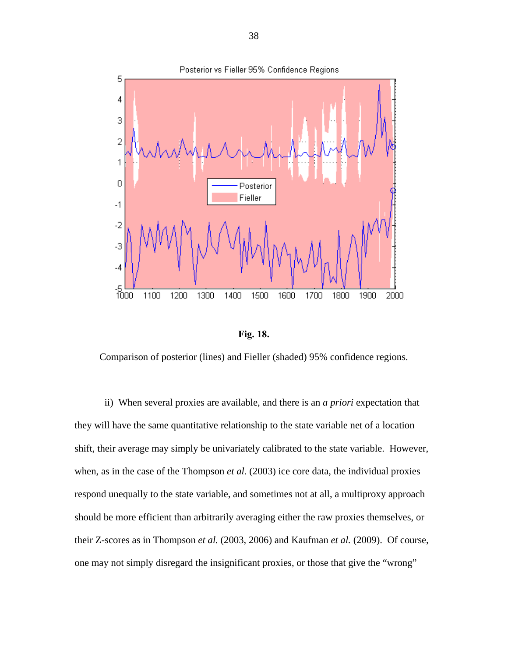



Comparison of posterior (lines) and Fieller (shaded) 95% confidence regions.

ii) When several proxies are available, and there is an *a priori* expectation that they will have the same quantitative relationship to the state variable net of a location shift, their average may simply be univariately calibrated to the state variable. However, when, as in the case of the Thompson *et al.* (2003) ice core data, the individual proxies respond unequally to the state variable, and sometimes not at all, a multiproxy approach should be more efficient than arbitrarily averaging either the raw proxies themselves, or their Z-scores as in Thompson *et al.* (2003, 2006) and Kaufman *et al.* (2009). Of course, one may not simply disregard the insignificant proxies, or those that give the "wrong"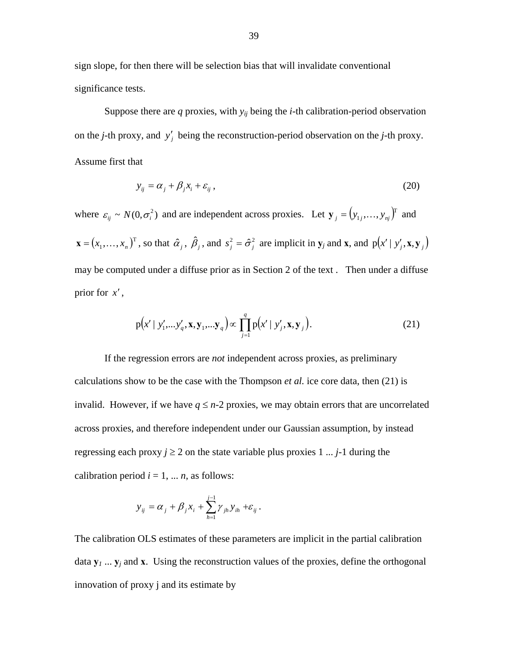sign slope, for then there will be selection bias that will invalidate conventional significance tests.

Suppose there are  $q$  proxies, with  $y_{ij}$  being the  $i$ -th calibration-period observation on the *j*-th proxy, and  $y'_j$  being the reconstruction-period observation on the *j*-th proxy. Assume first that

$$
y_{ij} = \alpha_j + \beta_j x_i + \varepsilon_{ij},\tag{20}
$$

where  $\varepsilon_{ij} \sim N(0, \sigma_i^2)$  and are independent across proxies. Let  $\mathbf{y}_j = (y_{1j},..., y_{nj})^T$  and  $\mathbf{x} = (x_1, \dots, x_n)^\text{T}$ , so that  $\hat{\alpha}_j$ ,  $\hat{\beta}_j$ , and  $s_j^2 = \hat{\sigma}_j^2$  are implicit in  $\mathbf{y}_j$  and  $\mathbf{x}$ , and  $p(x' | y'_j, \mathbf{x}, \mathbf{y}_j)$ may be computed under a diffuse prior as in Section 2 of the text . Then under a diffuse prior for *x*′ ,

$$
p(x' \mid y'_1, \dots, y'_q, x, y_1, \dots, y_q) \propto \prod_{j=1}^q p(x' \mid y'_j, x, y_j).
$$
 (21)

If the regression errors are *not* independent across proxies, as preliminary calculations show to be the case with the Thompson *et al.* ice core data, then (21) is invalid. However, if we have  $q \leq n-2$  proxies, we may obtain errors that are uncorrelated across proxies, and therefore independent under our Gaussian assumption, by instead regressing each proxy  $j \ge 2$  on the state variable plus proxies  $1 \dots j$ -1 during the calibration period  $i = 1, \dots n$ , as follows:

$$
y_{ij} = \alpha_j + \beta_j x_i + \sum_{h=1}^{j-1} \gamma_{jh} y_{ih} + \varepsilon_{ij}.
$$

The calibration OLS estimates of these parameters are implicit in the partial calibration data  $y_1$  ...  $y_j$  and  $x$ . Using the reconstruction values of the proxies, define the orthogonal innovation of proxy j and its estimate by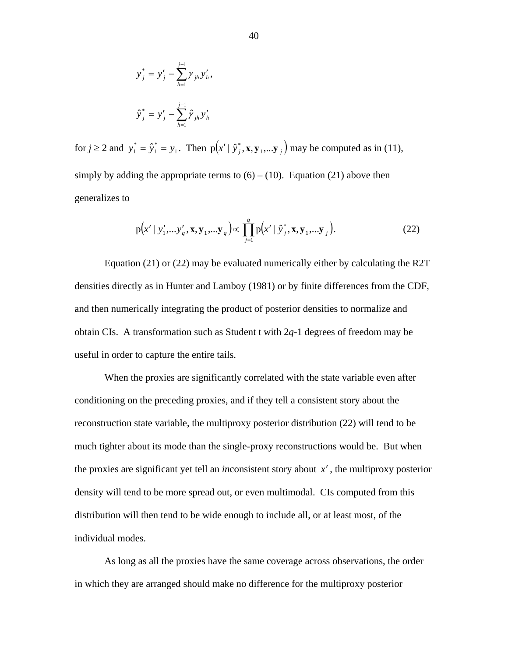$$
y_j^* = y_j' - \sum_{h=1}^{j-1} \gamma_{jh} y_h',
$$
  

$$
\hat{y}_j^* = y_j' - \sum_{h=1}^{j-1} \hat{\gamma}_{jh} y_h'
$$

for  $j \ge 2$  and  $y_1^* = \hat{y}_1^* = y_1$ . Then 1  $y_1^* = \hat{y}_1^* = y_1$ . Then  $p(x' | \hat{y}_j^*, \mathbf{x}, \mathbf{y}_1, \dots, \mathbf{y}_j)$  may be computed as in (11), simply by adding the appropriate terms to  $(6) - (10)$ . Equation (21) above then generalizes to

$$
p(x' \mid y'_1, \ldots, y'_q, x, y_1, \ldots, y_q) \propto \prod_{j=1}^q p(x' \mid \hat{y}_j^*, x, y_1, \ldots, y_j).
$$
 (22)

Equation (21) or (22) may be evaluated numerically either by calculating the R2T densities directly as in Hunter and Lamboy (1981) or by finite differences from the CDF, and then numerically integrating the product of posterior densities to normalize and obtain CIs. A transformation such as Student t with 2*q*-1 degrees of freedom may be useful in order to capture the entire tails.

 When the proxies are significantly correlated with the state variable even after conditioning on the preceding proxies, and if they tell a consistent story about the reconstruction state variable, the multiproxy posterior distribution (22) will tend to be much tighter about its mode than the single-proxy reconstructions would be. But when the proxies are significant yet tell an *in*consistent story about *x*′ , the multiproxy posterior density will tend to be more spread out, or even multimodal. CIs computed from this distribution will then tend to be wide enough to include all, or at least most, of the individual modes.

 As long as all the proxies have the same coverage across observations, the order in which they are arranged should make no difference for the multiproxy posterior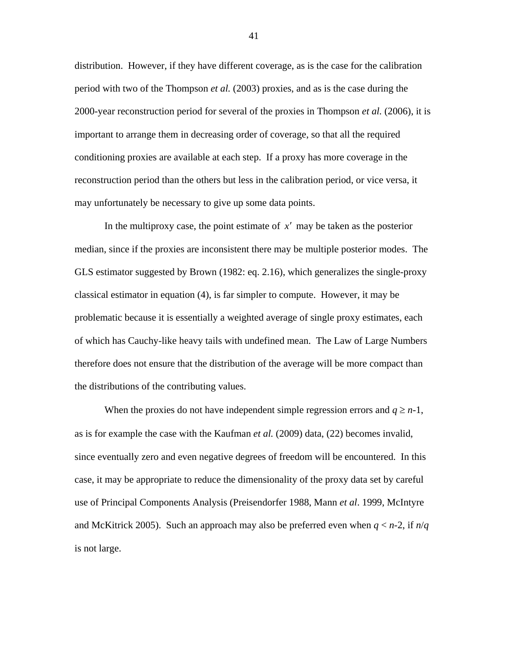distribution. However, if they have different coverage, as is the case for the calibration period with two of the Thompson *et al.* (2003) proxies, and as is the case during the 2000-year reconstruction period for several of the proxies in Thompson *et al.* (2006), it is important to arrange them in decreasing order of coverage, so that all the required conditioning proxies are available at each step. If a proxy has more coverage in the reconstruction period than the others but less in the calibration period, or vice versa, it may unfortunately be necessary to give up some data points.

 In the multiproxy case, the point estimate of *x*′ may be taken as the posterior median, since if the proxies are inconsistent there may be multiple posterior modes. The GLS estimator suggested by Brown (1982: eq. 2.16), which generalizes the single-proxy classical estimator in equation (4), is far simpler to compute. However, it may be problematic because it is essentially a weighted average of single proxy estimates, each of which has Cauchy-like heavy tails with undefined mean. The Law of Large Numbers therefore does not ensure that the distribution of the average will be more compact than the distributions of the contributing values.

When the proxies do not have independent simple regression errors and  $q \ge n-1$ , as is for example the case with the Kaufman *et al.* (2009) data, (22) becomes invalid, since eventually zero and even negative degrees of freedom will be encountered. In this case, it may be appropriate to reduce the dimensionality of the proxy data set by careful use of Principal Components Analysis (Preisendorfer 1988, Mann *et al*. 1999, McIntyre and McKitrick 2005). Such an approach may also be preferred even when *q* < *n*-2, if *n*/*q* is not large.

41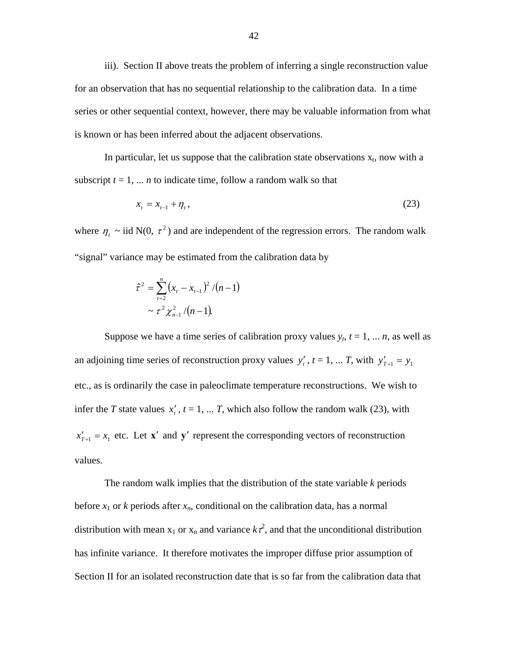iii). Section II above treats the problem of inferring a single reconstruction value for an observation that has no sequential relationship to the calibration data. In a time series or other sequential context, however, there may be valuable information from what is known or has been inferred about the adjacent observations.

In particular, let us suppose that the calibration state observations  $x_t$ , now with a subscript  $t = 1, \ldots n$  to indicate time, follow a random walk so that

$$
x_{t} = x_{t-1} + \eta_{t}, \tag{23}
$$

where  $\eta_t \sim$  iid N(0,  $\tau^2$ ) and are independent of the regression errors. The random walk "signal" variance may be estimated from the calibration data by

$$
\hat{\tau}^2 = \sum_{t=2}^n (x_t - x_{t-1})^2 / (n-1)
$$
  
~ 
$$
\approx \tau^2 \chi_{n-1}^2 / (n-1).
$$

Suppose we have a time series of calibration proxy values  $y_t$ ,  $t = 1, \ldots n$ , as well as an adjoining time series of reconstruction proxy values  $y'_t$ ,  $t = 1, ... T$ , with  $y'_{t+1} = y_1$ etc., as is ordinarily the case in paleoclimate temperature reconstructions. We wish to infer the *T* state values  $x'$ ,  $t = 1, \ldots T$ , which also follow the random walk (23), with  $x'_{T+1} = x_1$  etc. Let **x'** and **y'** represent the corresponding vectors of reconstruction values.

The random walk implies that the distribution of the state variable *k* periods before  $x_1$  or k periods after  $x_n$ , conditional on the calibration data, has a normal distribution with mean  $x_1$  or  $x_n$  and variance  $k\tau^2$ , and that the unconditional distribution has infinite variance. It therefore motivates the improper diffuse prior assumption of Section II for an isolated reconstruction date that is so far from the calibration data that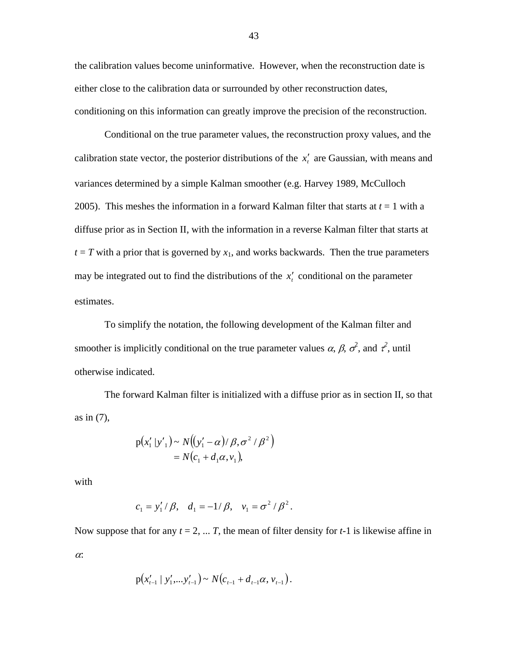the calibration values become uninformative. However, when the reconstruction date is either close to the calibration data or surrounded by other reconstruction dates, conditioning on this information can greatly improve the precision of the reconstruction.

 Conditional on the true parameter values, the reconstruction proxy values, and the calibration state vector, the posterior distributions of the  $x'$  are Gaussian, with means and variances determined by a simple Kalman smoother (e.g. Harvey 1989, McCulloch 2005). This meshes the information in a forward Kalman filter that starts at *t* = 1 with a diffuse prior as in Section II, with the information in a reverse Kalman filter that starts at  $t = T$  with a prior that is governed by  $x_1$ , and works backwards. Then the true parameters may be integrated out to find the distributions of the  $x'$  conditional on the parameter estimates.

 To simplify the notation, the following development of the Kalman filter and smoother is implicitly conditional on the true parameter values  $\alpha$ ,  $\beta$ ,  $\sigma^2$ , and  $\tau^2$ , until otherwise indicated.

The forward Kalman filter is initialized with a diffuse prior as in section II, so that as in (7),

$$
p(x'_1 | y'_1) \sim N((y'_1 - \alpha) / \beta, \sigma^2 / \beta^2)
$$
  
=  $N(c_1 + d_1 \alpha, v_1)$ ,

with

$$
c_1 = y'_1/\beta
$$
,  $d_1 = -1/\beta$ ,  $v_1 = \sigma^2/\beta^2$ .

Now suppose that for any  $t = 2, \ldots T$ , the mean of filter density for  $t-1$  is likewise affine in <sup>α</sup>:

$$
p(x'_{t-1} | y'_{1}, \ldots, y'_{t-1}) \sim N(c_{t-1} + d_{t-1}\alpha, v_{t-1}).
$$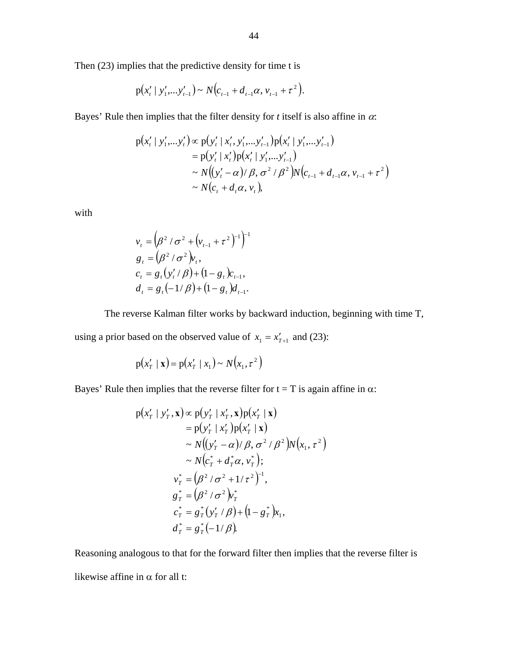Then (23) implies that the predictive density for time t is

$$
p(x'_{t} | y'_{1},...y'_{t-1}) \sim N(c_{t-1} + d_{t-1}\alpha, v_{t-1} + \tau^{2}).
$$

Bayes' Rule then implies that the filter density for  $t$  itself is also affine in  $\alpha$ :

$$
p(x'_{t} | y'_{1},...,y'_{t}) \propto p(y'_{t} | x'_{t}, y'_{1},...,y'_{t-1}) p(x'_{t} | y'_{1},...,y'_{t-1})
$$
  
=  $p(y'_{t} | x'_{t}) p(x'_{t} | y'_{1},...,y'_{t-1})$   
 $\sim N((y'_{t} - \alpha) / \beta, \sigma^{2} / \beta^{2}) N(c_{t-1} + d_{t-1}\alpha, v_{t-1} + \tau^{2})$   
 $\sim N(c_{t} + d_{t}\alpha, v_{t}),$ 

with

$$
v_{t} = (\beta^{2} / \sigma^{2} + (v_{t-1} + \tau^{2})^{-1})^{-1}
$$
  
\n
$$
g_{t} = (\beta^{2} / \sigma^{2})v_{t},
$$
  
\n
$$
c_{t} = g_{t}(y_{t} / \beta) + (1 - g_{t})c_{t-1},
$$
  
\n
$$
d_{t} = g_{t}(-1/\beta) + (1 - g_{t})d_{t-1}.
$$

The reverse Kalman filter works by backward induction, beginning with time T,

using a prior based on the observed value of  $x_1 = x'_{T+1}$  and (23):

$$
p(x'_T | x) = p(x'_T | x_1) \sim N(x_1, \tau^2)
$$

Bayes' Rule then implies that the reverse filter for  $t = T$  is again affine in  $\alpha$ :

$$
p(x'_T | y'_T, \mathbf{x}) \propto p(y'_T | x'_T, \mathbf{x})p(x'_T | \mathbf{x})
$$
  
\n
$$
= p(y'_T | x'_T)p(x'_T | \mathbf{x})
$$
  
\n
$$
\sim N((y'_T - \alpha)/\beta, \sigma^2/\beta^2)N(x_1, \tau^2)
$$
  
\n
$$
\sim N(c^*_T + d^*_T\alpha, v^*_T);
$$
  
\n
$$
v^*_T = (\beta^2/\sigma^2 + 1/\tau^2)^{-1},
$$
  
\n
$$
g^*_T = (\beta^2/\sigma^2)v^*_T
$$
  
\n
$$
c^*_T = g^*_T(y'_T/\beta) + (1 - g^*_T)x_1,
$$
  
\n
$$
d^*_T = g^*_T(-1/\beta).
$$

Reasoning analogous to that for the forward filter then implies that the reverse filter is likewise affine in  $\alpha$  for all t: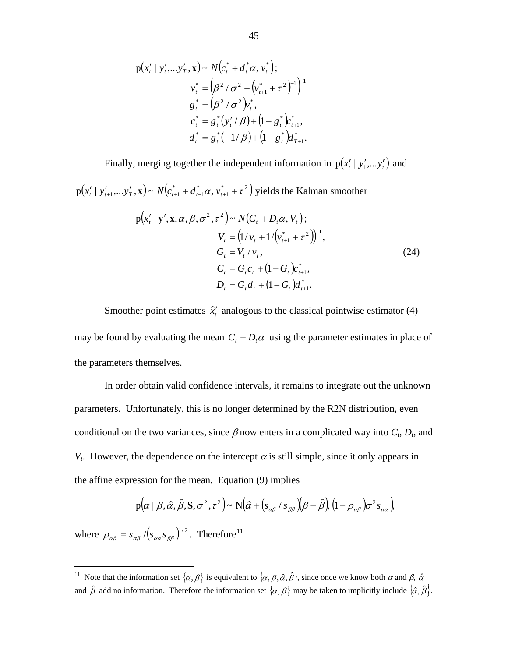$$
p(x'_{t} | y'_{t},...y'_{T}, \mathbf{x}) \sim N(c^{*}_{t} + d^{*}_{t} \alpha, v^{*}_{t});
$$
  
\n
$$
v^{*}_{t} = (\beta^{2} / \sigma^{2} + (v^{*}_{t+1} + \tau^{2})^{-1})^{-1}
$$
  
\n
$$
g^{*}_{t} = (\beta^{2} / \sigma^{2})v^{*}_{t},
$$
  
\n
$$
c^{*}_{t} = g^{*}_{t} (y'_{t} / \beta) + (1 - g^{*}_{t})c^{*}_{t+1},
$$
  
\n
$$
d^{*}_{t} = g^{*}_{t} (-1/\beta) + (1 - g^{*}_{t})d^{*}_{t+1}.
$$

Finally, merging together the independent information in  $p(x'_{t} | y'_{1},..., y'_{t})$  and

 $(x'_{t} | y'_{t+1}, \ldots, y'_{T}, \mathbf{x}) \sim N(c^*_{t+1} + d^*_{t+1} \alpha, v^*_{t+1} + \tau^2)$ \* 1 \*  $p(x'_{t} | y'_{t+1},...,y'_{T}, x) \sim N(c^{*}_{t+1} + d^{*}_{t+1}\alpha, v^{*}_{t+1} + \tau^{2})$  yields the Kalman smoother

$$
p(x'_{t} | y', x, \alpha, \beta, \sigma^{2}, \tau^{2}) \sim N(C_{t} + D_{t}\alpha, V_{t});
$$
  
\n
$$
V_{t} = (1/v_{t} + 1/(v_{t+1}^{*} + \tau^{2}))^{-1},
$$
  
\n
$$
G_{t} = V_{t}/v_{t},
$$
  
\n
$$
C_{t} = G_{t}c_{t} + (1 - G_{t})c_{t+1}^{*},
$$
  
\n
$$
D_{t} = G_{t}d_{t} + (1 - G_{t})d_{t+1}^{*}.
$$
\n(24)

Smoother point estimates  $\hat{x}'_t$  analogous to the classical pointwise estimator (4) may be found by evaluating the mean  $C_t + D_t\alpha$  using the parameter estimates in place of the parameters themselves.

 In order obtain valid confidence intervals, it remains to integrate out the unknown parameters. Unfortunately, this is no longer determined by the R2N distribution, even conditional on the two variances, since  $\beta$  now enters in a complicated way into  $C_t$ ,  $D_t$ , and *V<sub>t</sub>*. However, the dependence on the intercept  $\alpha$  is still simple, since it only appears in the affine expression for the mean. Equation (9) implies

$$
p\Big(\!\alpha \mid \beta, \hat{\alpha}, \hat{\beta}, S, \sigma^2, \tau^2\Big)\! \sim N\Big(\!\hat{\alpha} + \big(s_{\alpha\beta}\mid s_{\beta\beta}\big)\!\Big(\!\beta - \hat{\beta}\big)\Big(1-\rho_{\alpha\beta}\Big) \!\sigma^2 s_{\alpha\alpha}\Big)
$$

where  $\rho_{\alpha\beta} = s_{\alpha\beta} / (s_{\alpha\alpha} s_{\beta\beta})^{1/2}$ . Therefore<sup>[11](#page-46-0)</sup>

 $\overline{a}$ 

<span id="page-46-0"></span><sup>&</sup>lt;sup>11</sup> Note that the information set  $\{\alpha,\beta\}$  is equivalent to  $\{\alpha,\beta,\hat{\alpha},\hat{\beta}\}\)$ , since once we know both  $\alpha$  and  $\beta$ ,  $\hat{\alpha}$ and  $\hat{\beta}$  add no information. Therefore the information set  $\{\alpha, \beta\}$  may be taken to implicitly include  $\{\hat{\alpha}, \hat{\beta}\}\$ .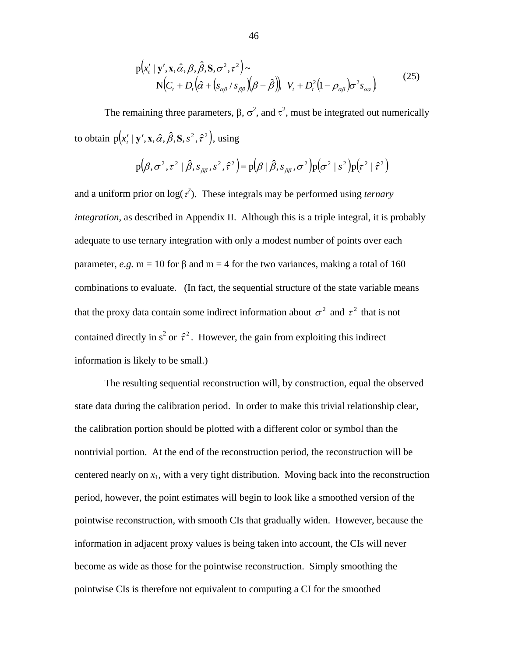$$
p(x'_{t} | y', \mathbf{x}, \hat{\alpha}, \beta, \hat{\beta}, \mathbf{S}, \sigma^{2}, \tau^{2}) \sim
$$
  
\n
$$
N(C_{t} + D_{t}(\hat{\alpha} + (s_{\alpha\beta} / s_{\beta\beta})(\beta - \hat{\beta})), V_{t} + D_{t}^{2}(1 - \rho_{\alpha\beta})\sigma^{2} s_{\alpha\alpha})
$$
\n(25)

The remaining three parameters,  $\beta$ ,  $\sigma^2$ , and  $\tau^2$ , must be integrated out numerically to obtain  $p(x_i' | y', x, \hat{\alpha}, \hat{\beta}, S, s^2, \hat{\tau}^2)$ , using

$$
p(\beta, \sigma^2, \tau^2 | \hat{\beta}, s_{\beta\beta}, s^2, \hat{\tau}^2) = p(\beta | \hat{\beta}, s_{\beta\beta}, \sigma^2) p(\sigma^2 | s^2) p(\tau^2 | \hat{\tau}^2)
$$

and a uniform prior on  $log(\tau^2)$ . These integrals may be performed using *ternary integration*, as described in Appendix II. Although this is a triple integral, it is probably adequate to use ternary integration with only a modest number of points over each parameter, *e.g.* m = 10 for β and m = 4 for the two variances, making a total of 160 combinations to evaluate. (In fact, the sequential structure of the state variable means that the proxy data contain some indirect information about  $\sigma^2$  and  $\tau^2$  that is not contained directly in  $s^2$  or  $\hat{\tau}^2$ . However, the gain from exploiting this indirect information is likely to be small.)

 The resulting sequential reconstruction will, by construction, equal the observed state data during the calibration period. In order to make this trivial relationship clear, the calibration portion should be plotted with a different color or symbol than the nontrivial portion. At the end of the reconstruction period, the reconstruction will be centered nearly on  $x_1$ , with a very tight distribution. Moving back into the reconstruction period, however, the point estimates will begin to look like a smoothed version of the pointwise reconstruction, with smooth CIs that gradually widen. However, because the information in adjacent proxy values is being taken into account, the CIs will never become as wide as those for the pointwise reconstruction. Simply smoothing the pointwise CIs is therefore not equivalent to computing a CI for the smoothed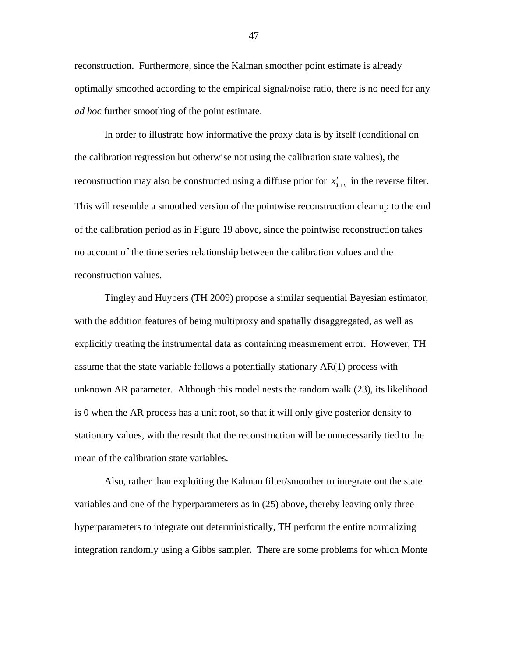reconstruction. Furthermore, since the Kalman smoother point estimate is already optimally smoothed according to the empirical signal/noise ratio, there is no need for any *ad hoc* further smoothing of the point estimate.

 In order to illustrate how informative the proxy data is by itself (conditional on the calibration regression but otherwise not using the calibration state values), the reconstruction may also be constructed using a diffuse prior for  $x'_{T+n}$  in the reverse filter. This will resemble a smoothed version of the pointwise reconstruction clear up to the end of the calibration period as in Figure 19 above, since the pointwise reconstruction takes no account of the time series relationship between the calibration values and the reconstruction values.

 Tingley and Huybers (TH 2009) propose a similar sequential Bayesian estimator, with the addition features of being multiproxy and spatially disaggregated, as well as explicitly treating the instrumental data as containing measurement error. However, TH assume that the state variable follows a potentially stationary AR(1) process with unknown AR parameter. Although this model nests the random walk (23), its likelihood is 0 when the AR process has a unit root, so that it will only give posterior density to stationary values, with the result that the reconstruction will be unnecessarily tied to the mean of the calibration state variables.

 Also, rather than exploiting the Kalman filter/smoother to integrate out the state variables and one of the hyperparameters as in (25) above, thereby leaving only three hyperparameters to integrate out deterministically, TH perform the entire normalizing integration randomly using a Gibbs sampler. There are some problems for which Monte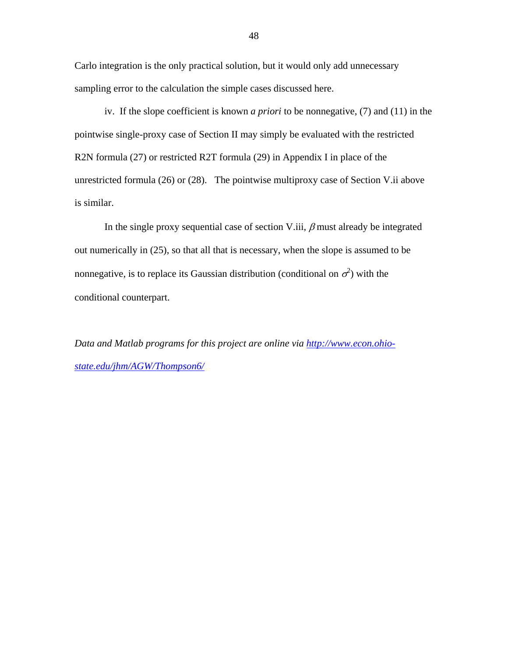Carlo integration is the only practical solution, but it would only add unnecessary sampling error to the calculation the simple cases discussed here.

 iv. If the slope coefficient is known *a priori* to be nonnegative, (7) and (11) in the pointwise single-proxy case of Section II may simply be evaluated with the restricted R2N formula (27) or restricted R2T formula (29) in Appendix I in place of the unrestricted formula (26) or (28). The pointwise multiproxy case of Section V.ii above is similar.

In the single proxy sequential case of section V.iii,  $\beta$  must already be integrated out numerically in (25), so that all that is necessary, when the slope is assumed to be nonnegative, is to replace its Gaussian distribution (conditional on  $\sigma^2$ ) with the conditional counterpart.

*Data and Matlab programs for this project are online via [http://www.econ.ohio](http://www.econ.ohio-state.edu/jhm/AGW/Thompson6/)[state.edu/jhm/AGW/Thompson6/](http://www.econ.ohio-state.edu/jhm/AGW/Thompson6/)*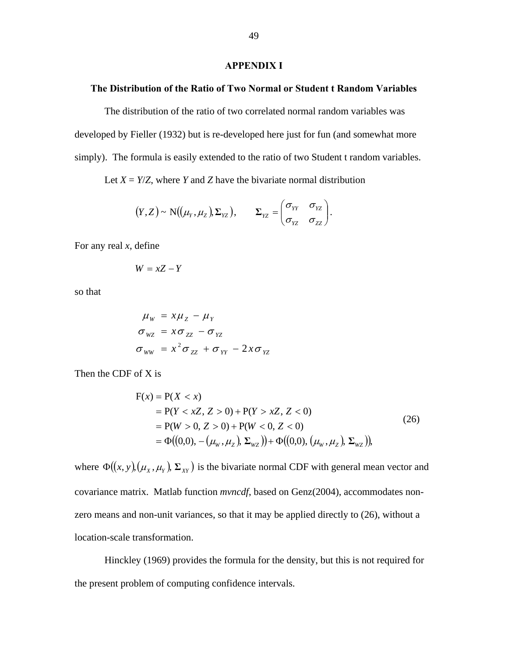#### **APPENDIX I**

## **The Distribution of the Ratio of Two Normal or Student t Random Variables**

 The distribution of the ratio of two correlated normal random variables was developed by Fieller (1932) but is re-developed here just for fun (and somewhat more simply). The formula is easily extended to the ratio of two Student t random variables.

Let  $X = Y/Z$ , where *Y* and *Z* have the bivariate normal distribution

$$
(Y,Z) \sim N((\mu_Y, \mu_Z), \Sigma_{YZ}), \qquad \Sigma_{YZ} = \begin{pmatrix} \sigma_{YY} & \sigma_{YZ} \\ \sigma_{YZ} & \sigma_{ZZ} \end{pmatrix}.
$$

For any real *x*, define

$$
W = xZ - Y
$$

so that

$$
\mu_{w} = x\mu_{z} - \mu_{Y}
$$
  
\n
$$
\sigma_{wz} = x\sigma_{zz} - \sigma_{YZ}
$$
  
\n
$$
\sigma_{ww} = x^{2}\sigma_{zz} + \sigma_{YY} - 2x\sigma_{YZ}
$$

Then the CDF of X is

$$
F(x) = P(X < x)
$$
  
= P(Y < xZ, Z > 0) + P(Y > xZ, Z < 0)  
= P(W > 0, Z > 0) + P(W < 0, Z < 0)  
= \Phi((0,0), -(\mu\_w, \mu\_z), \Sigma\_{wz})) + \Phi((0,0), (\mu\_w, \mu\_z), \Sigma\_{wz})), (26)

where  $\Phi((x, y), (\mu_X, \mu_Y), \Sigma_{XY})$  is the bivariate normal CDF with general mean vector and covariance matrix. Matlab function *mvncdf*, based on Genz(2004), accommodates nonzero means and non-unit variances, so that it may be applied directly to (26), without a location-scale transformation.

 Hinckley (1969) provides the formula for the density, but this is not required for the present problem of computing confidence intervals.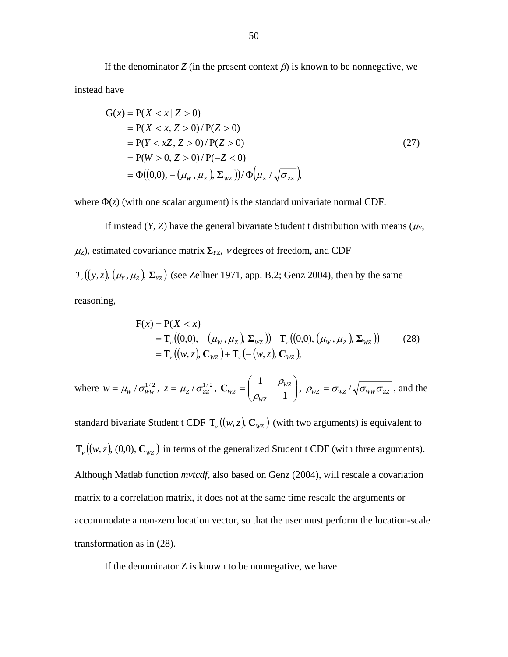If the denominator *Z* (in the present context  $\beta$ ) is known to be nonnegative, we instead have

$$
G(x) = P(X < x | Z > 0)
$$
  
= P(X < x, Z > 0) / P(Z > 0)  
= P(Y < xZ, Z > 0) / P(Z > 0)  
= P(W > 0, Z > 0) / P(-Z < 0)  
= \Phi((0,0), -(\mu\_w, \mu\_z), \Sigma\_{wz}) / \Phi(\mu\_z / \sqrt{\sigma\_{zz}}) (27)

where  $\Phi(z)$  (with one scalar argument) is the standard univariate normal CDF.

If instead  $(Y, Z)$  have the general bivariate Student t distribution with means  $(\mu_Y, Z)$  $\mu$ <sub>Z</sub>), estimated covariance matrix  $\Sigma$ <sub>*YZ</sub>*,  $\nu$  degrees of freedom, and CDF</sub>  $T_v((y, z), (\mu_Y, \mu_Z), \Sigma_{YZ})$  (see Zellner 1971, app. B.2; Genz 2004), then by the same

reasoning,

$$
F(x) = P(X < x)
$$
  
= T<sub>v</sub>((0,0), -(\mu<sub>w</sub>, \mu<sub>z</sub>), \Sigma<sub>wz</sub>))+T<sub>v</sub>((0,0), (\mu<sub>w</sub>, \mu<sub>z</sub>), \Sigma<sub>wz</sub>)) (28)  
= T<sub>v</sub>((w, z), C<sub>wz</sub>) + T<sub>v</sub>(-(w, z), C<sub>wz</sub>),

where  $w = \mu_{w} / \sigma_{ww}^{1/2}$ ,  $z = \mu_{z} / \sigma_{zz}^{1/2}$ ,  $C_{wz} = \begin{bmatrix} 1 & P_{wz} \\ Q & 1 \end{bmatrix}$ , ⎠ ⎞  $\overline{\phantom{a}}$  $=\begin{pmatrix} 1 & \rho_{w} \\ \rho_{wz} & 1 \end{pmatrix}$ *WZ WZ*  $\mathbf{C}_{WZ} = \begin{pmatrix} 1 & \rho_{WZ} \\ \rho_{WZ} & 1 \end{pmatrix}, \ \rho_{WZ} = \sigma_{WZ} / \sqrt{\sigma_{WW} \sigma_{ZZ}}$ , and the

standard bivariate Student t CDF  $T_v((w, z), \mathbb{C}_{wz})$  (with two arguments) is equivalent to  $T_v((w, z), (0,0), \mathbb{C}_{wz})$  in terms of the generalized Student t CDF (with three arguments). Although Matlab function *mvtcdf*, also based on Genz (2004), will rescale a covariation matrix to a correlation matrix, it does not at the same time rescale the arguments or accommodate a non-zero location vector, so that the user must perform the location-scale transformation as in (28).

If the denominator  $Z$  is known to be nonnegative, we have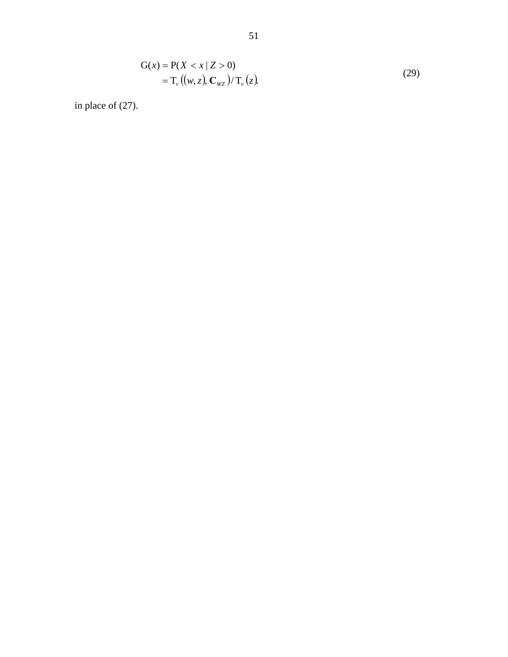$$
G(x) = P(X < x | Z > 0)
$$
  
= T<sub>\nu</sub> ((w, z), C<sub>wz</sub>)/T<sub>\nu</sub>(z). (29)

in place of (27).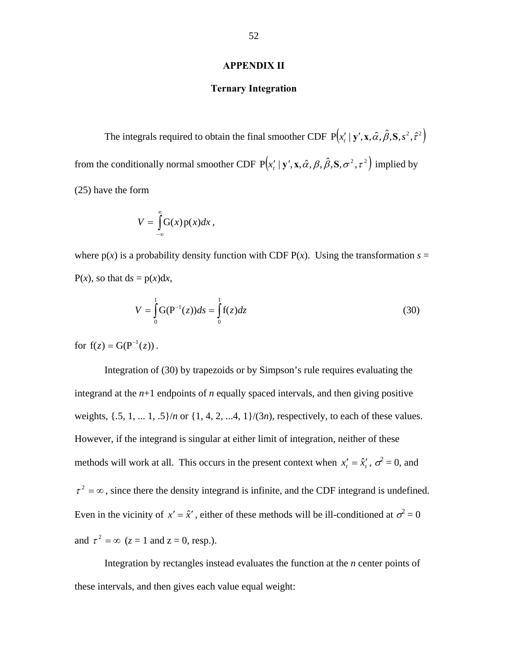## **APPENDIX II**

## **Ternary Integration**

The integrals required to obtain the final smoother CDF  $P(x' | y', x, \hat{\alpha}, \hat{\beta}, S, s^2, \hat{\tau}^2)$ from the conditionally normal smoother CDF  $P(x'_{i} | y', x, \hat{\alpha}, \beta, \hat{\beta}, S, \sigma^2, \tau^2)$  implied by (25) have the form

$$
V=\int\limits_{-\infty}^{\infty}G(x)p(x)dx,
$$

where  $p(x)$  is a probability density function with CDF  $P(x)$ . Using the transformation  $s =$  $P(x)$ , so that  $ds = p(x)dx$ ,

$$
V = \int_{0}^{1} G(P^{-1}(z))ds = \int_{0}^{1} f(z)dz
$$
 (30)

for  $f(z) = G(P^{-1}(z))$ .

 Integration of (30) by trapezoids or by Simpson's rule requires evaluating the integrand at the  $n+1$  endpoints of  $n$  equally spaced intervals, and then giving positive weights,  $\{.5, 1, \ldots, 1, .5\}/n$  or  $\{1, 4, 2, \ldots, 4, 1\}/(3n)$ , respectively, to each of these values. However, if the integrand is singular at either limit of integration, neither of these methods will work at all. This occurs in the present context when  $x'_i = \hat{x}'_i$ ,  $\sigma^2 = 0$ , and  $\tau^2 = \infty$ , since there the density integrand is infinite, and the CDF integrand is undefined. Even in the vicinity of  $x' = \hat{x}'$ , either of these methods will be ill-conditioned at  $\sigma^2 = 0$ and  $\tau^2 = \infty$  ( $z = 1$  and  $z = 0$ , resp.).

 Integration by rectangles instead evaluates the function at the *n* center points of these intervals, and then gives each value equal weight: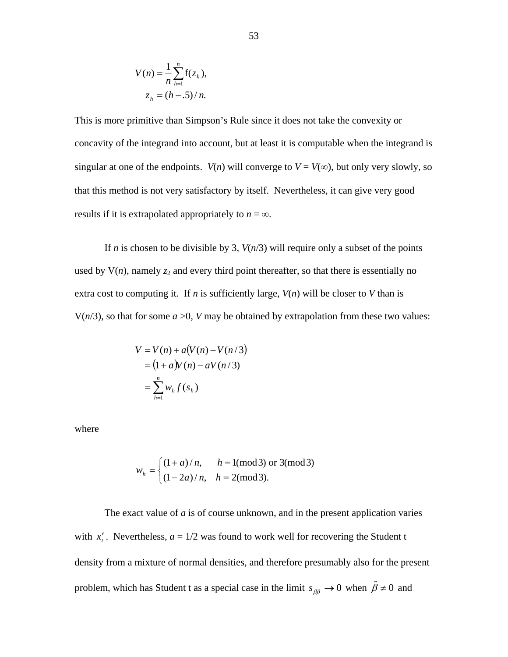$$
V(n) = \frac{1}{n} \sum_{h=1}^{n} f(z_h),
$$
  

$$
z_h = (h - .5) / n.
$$

This is more primitive than Simpson's Rule since it does not take the convexity or concavity of the integrand into account, but at least it is computable when the integrand is singular at one of the endpoints. *V(n)* will converge to  $V = V(\infty)$ , but only very slowly, so that this method is not very satisfactory by itself. Nevertheless, it can give very good results if it is extrapolated appropriately to  $n = \infty$ .

If *n* is chosen to be divisible by 3,  $V(n/3)$  will require only a subset of the points used by  $V(n)$ , namely  $z_2$  and every third point thereafter, so that there is essentially no extra cost to computing it. If *n* is sufficiently large,  $V(n)$  will be closer to *V* than is  $V(n/3)$ , so that for some  $a > 0$ , *V* may be obtained by extrapolation from these two values:

$$
V = V(n) + a(V(n) - V(n/3))
$$
  
= 
$$
(1 + a)V(n) - aV(n/3)
$$
  
= 
$$
\sum_{h=1}^{n} w_h f(s_h)
$$

where

$$
w_h = \begin{cases} (1+a)/n, & h = 1 \text{(mod 3) or } 3 \text{(mod 3)} \\ (1-2a)/n, & h = 2 \text{(mod 3)}. \end{cases}
$$

 The exact value of *a* is of course unknown, and in the present application varies with  $x'_i$ . Nevertheless,  $a = 1/2$  was found to work well for recovering the Student t density from a mixture of normal densities, and therefore presumably also for the present problem, which has Student t as a special case in the limit  $s_{\beta\beta} \to 0$  when  $\hat{\beta} \neq 0$  and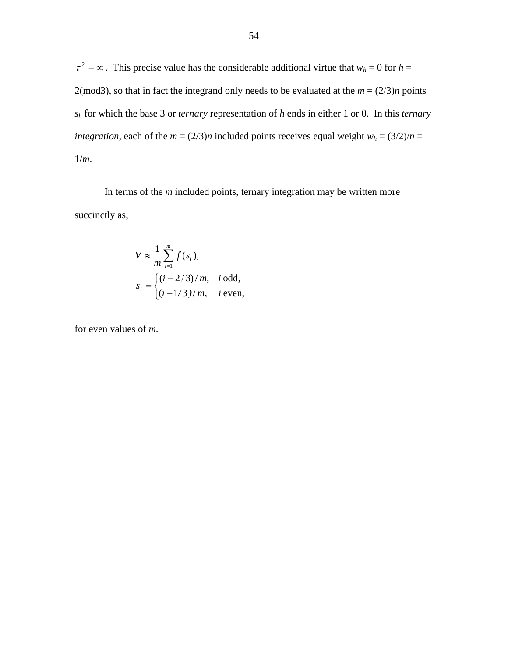$\tau^2 = \infty$ . This precise value has the considerable additional virtue that  $w_h = 0$  for  $h =$ 2(mod3), so that in fact the integrand only needs to be evaluated at the  $m = (2/3)n$  points *sh* for which the base 3 or *ternary* representation of *h* ends in either 1 or 0. In this *ternary integration*, each of the  $m = (2/3)n$  included points receives equal weight  $w_h = (3/2)/n =$ 1/*m*.

 In terms of the *m* included points, ternary integration may be written more succinctly as,

$$
V \approx \frac{1}{m} \sum_{i=1}^{m} f(s_i),
$$
  
\n
$$
s_i = \begin{cases} (i - 2/3)/m, & i \text{ odd}, \\ (i - 1/3)/m, & i \text{ even}, \end{cases}
$$

for even values of *m*.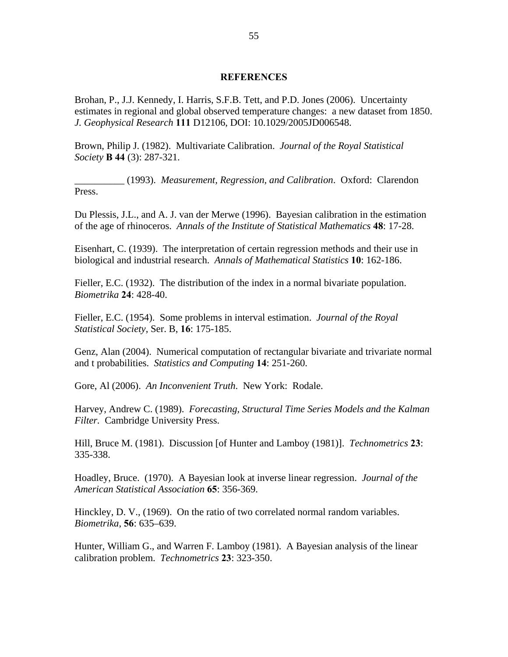### **REFERENCES**

Brohan, P., J.J. Kennedy, I. Harris, S.F.B. Tett, and P.D. Jones (2006). Uncertainty estimates in regional and global observed temperature changes: a new dataset from 1850. *J. Geophysical Research* **111** D12106, DOI: 10.1029/2005JD006548.

Brown, Philip J. (1982). Multivariate Calibration. *Journal of the Royal Statistical Society* **B 44** (3): 287-321.

\_\_\_\_\_\_\_\_\_\_ (1993). *Measurement, Regression, and Calibration*. Oxford: Clarendon Press.

Du Plessis, J.L., and A. J. van der Merwe (1996). Bayesian calibration in the estimation of the age of rhinoceros. *Annals of the Institute of Statistical Mathematics* **48**: 17-28.

Eisenhart, C. (1939). The interpretation of certain regression methods and their use in biological and industrial research. *Annals of Mathematical Statistics* **10**: 162-186.

Fieller, E.C. (1932). The distribution of the index in a normal bivariate population. *Biometrika* **24**: 428-40.

Fieller, E.C. (1954). Some problems in interval estimation. *Journal of the Royal Statistical Society*, Ser. B, **16**: 175-185.

Genz, Alan (2004). Numerical computation of rectangular bivariate and trivariate normal and t probabilities. *Statistics and Computing* **14**: 251-260.

Gore, Al (2006). *An Inconvenient Truth*. New York: Rodale.

Harvey, Andrew C. (1989). *Forecasting, Structural Time Series Models and the Kalman Filter.* Cambridge University Press.

Hill, Bruce M. (1981). Discussion [of Hunter and Lamboy (1981)]. *Technometrics* **23**: 335-338.

Hoadley, Bruce. (1970). A Bayesian look at inverse linear regression. *Journal of the American Statistical Association* **65**: 356-369.

Hinckley, D. V., (1969). On the ratio of two correlated normal random variables. *Biometrika*, **56**: 635–639.

Hunter, William G., and Warren F. Lamboy (1981). A Bayesian analysis of the linear calibration problem. *Technometrics* **23**: 323-350.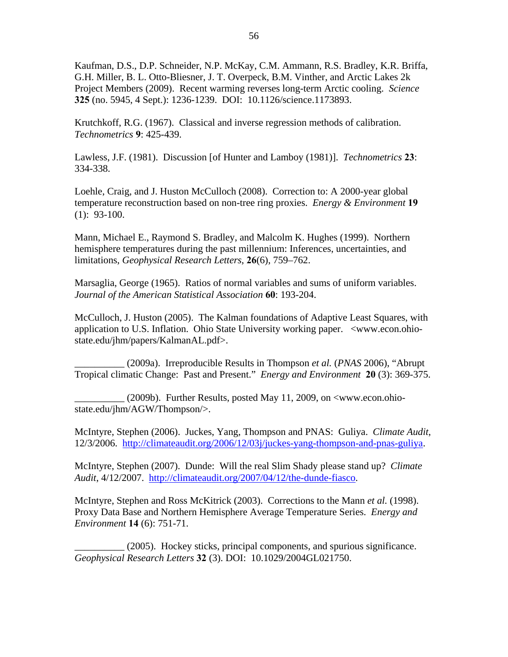Kaufman, D.S., D.P. Schneider, N.P. McKay, C.M. Ammann, R.S. Bradley, K.R. Briffa, G.H. Miller, B. L. Otto-Bliesner, J. T. Overpeck, B.M. Vinther, and Arctic Lakes 2k Project Members (2009). Recent warming reverses long-term Arctic cooling. *Science* **325** (no. 5945, 4 Sept.): 1236-1239. DOI: 10.1126/science.1173893.

Krutchkoff, R.G. (1967). Classical and inverse regression methods of calibration. *Technometrics* **9**: 425-439.

Lawless, J.F. (1981). Discussion [of Hunter and Lamboy (1981)]. *Technometrics* **23**: 334-338.

Loehle, Craig, and J. Huston McCulloch (2008). Correction to: A 2000-year global temperature reconstruction based on non-tree ring proxies. *Energy & Environment* **19** (1): 93-100.

Mann, Michael E., Raymond S. Bradley, and Malcolm K. Hughes (1999). Northern hemisphere temperatures during the past millennium: Inferences, uncertainties, and limitations, *Geophysical Research Letters*, **26**(6), 759–762.

Marsaglia, George (1965). Ratios of normal variables and sums of uniform variables. *Journal of the American Statistical Association* **60**: 193-204.

McCulloch, J. Huston (2005). The Kalman foundations of Adaptive Least Squares, with application to U.S. Inflation. Ohio State University working paper. <www.econ.ohiostate.edu/jhm/papers/KalmanAL.pdf>.

\_\_\_\_\_\_\_\_\_\_ (2009a). Irreproducible Results in Thompson *et al.* (*PNAS* 2006), "Abrupt Tropical climatic Change: Past and Present." *Energy and Environment* **20** (3): 369-375.

 $(2009b)$ . Further Results, posted May 11, 2009, on  $\lt$ www.econ.ohiostate.edu/jhm/AGW/Thompson/>.

McIntyre, Stephen (2006). Juckes, Yang, Thompson and PNAS: Guliya. *Climate Audit*, 12/3/2006. [http://climateaudit.org/2006/12/03j/juckes-yang-thompson-and-pnas-guliya.](http://climateaudit.org/2006/12/03j/juckes-yang-thompson-and-pnas-guliya)

McIntyre, Stephen (2007). Dunde: Will the real Slim Shady please stand up? *Climate Audit*, 4/12/2007. [http://climateaudit.org/2007/04/12/the-dunde-fiasco.](http://climateaudit.org/2007/04/12/the-dunde-fiasco)

McIntyre, Stephen and Ross McKitrick (2003). Corrections to the Mann *et al.* (1998). Proxy Data Base and Northern Hemisphere Average Temperature Series. *Energy and Environment* **14** (6): 751-71.

\_\_\_\_\_\_\_\_\_\_ (2005). Hockey sticks, principal components, and spurious significance. *Geophysical Research Letters* **32** (3). DOI: 10.1029/2004GL021750.